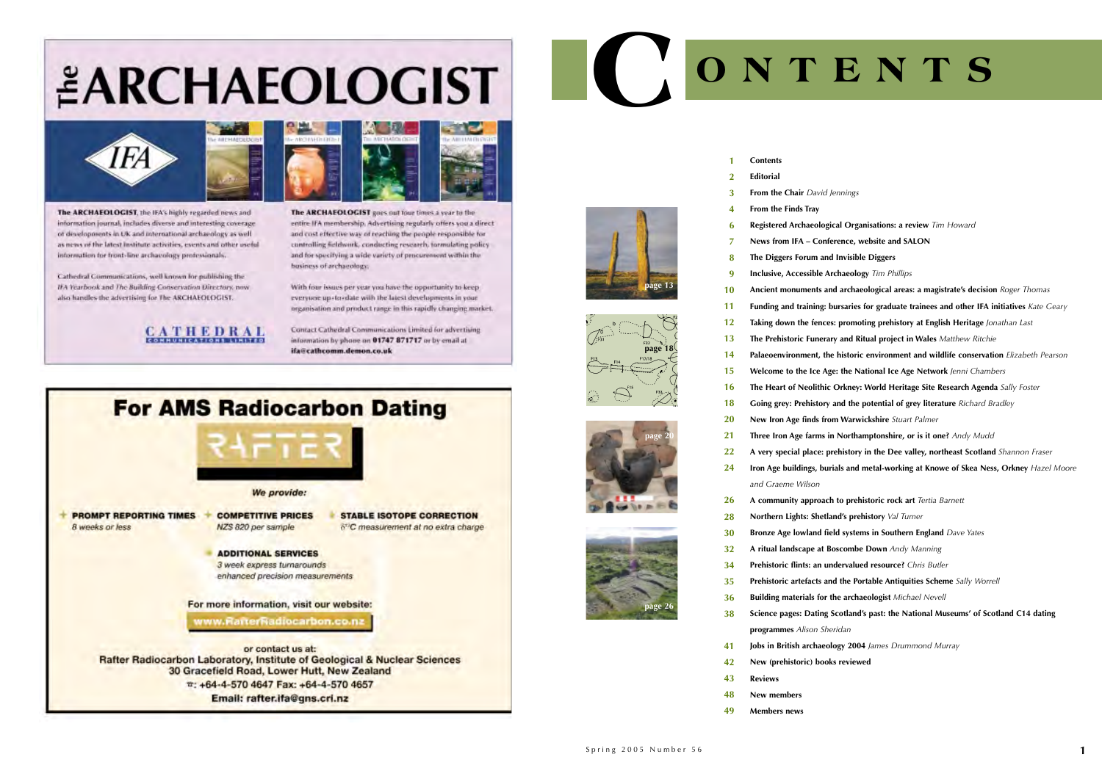# *EARCHAEOLOGIST*



The ARCHAEOLOGIST, the IFA's highly regarded news and information journal, includes diverse and interesting coverage. of developments in UK and international archaeology as well as news of the latest institute activities, events and other useful information for front-line archaeology professionals.

Cathedral Communications, well known for publishing the IFA Yearbook and The Building Conservation Directory, now also handles the advertising for The ARCHAEOLOGIST.





The ARCHAEOLOGIST goes out four times a year to the entire IFA membership. Advertising regularly offers you a direct and cost effective way of reaching the people responsible for controlling fieldwork, conducting research, formulating policy and for specifying a wide variety of procurement within the business of archaeology.

With four issues per year you have the opportunity to keep everyone up-to-date with the latest developments in your organisation and product range in this rapidly changing market.

Contact Cathedral Communications Limited for advertising information by phone on 01747 871717 or by email at ifa@cathcomm.demon.co.uk



### **From the Chair** *David Jennings*

**Register Arganisations: a review Tim Howard Conference, website and SALON The Diggers Forum and Invisible Diggers Inclusive, Accessible Archaeology** *Tim Phillips* **Ancient monuments and archaeological areas: a magistrate's decision** *Roger Thomas* **Funding: bursaries for graduate trainees and other IFA initiatives** Kate Geary fences: promoting prehistory at English Heritage *Jonathan Last* **Unerary and Ritual project in Wales** Matthew Ritchie **nt, the historic environment and wildlife conservation** *Elizabeth Pearson* **Ice Age: the National Ice Age Network** *Jenni Chambers* **The Theoric Orkney: World Heritage Site Research Agenda** Sally Foster **Going and the potential of grey literature** *Richard Bradley* **New Iron Age finds from Warwickshire** *Stuart Palmer* **Three Iron Age farms in Northamptonshire, or is it one?** *Andy Mudd* **A very special place: prehistory in the Dee valley, northeast Scotland** Shannon Fraser **Iron Age buildings, burials and metal-working at Knowe of Skea Ness, Orkney** *Hazel Moore* **A community approach to prehistoric rock art** *Tertia Barnett*  **Shetland's prehistory** *Val Turner* **Bronze Age lowland field systems in Southern England** *Dave Yates* **A at Boscombe Down** *Andy Manning* **Prehistoric flints: an undervalued resource?** *Chris Butler* **Prefision and the Portable Antiquities Scheme** Sally Worrell **s for the archaeologist** *Michael Nevell* **Science pages: Dating Scotland's past: the National Museums' of Scotland C14 dating programmes** *Alison Sheridan* **Jobs in British archaeology 2004** *James Drummond Murray*

| 1                       | <b>Contents</b>              |
|-------------------------|------------------------------|
| $\overline{\mathbf{2}}$ | <b>Editorial</b>             |
| 3                       | From the Chair Dav           |
| 4                       | From the Finds Tray          |
| 6                       | <b>Registered Archaeol</b>   |
| $\overline{7}$          | News from IFA - Co           |
| 8                       | The Diggers Forum            |
| 9                       | <b>Inclusive, Accessible</b> |
| 10                      | <b>Ancient monuments</b>     |
| 11                      | Funding and training         |
| 12                      | Taking down the fer          |
| 13                      | The Prehistoric Fund         |
| 14                      | Palaeoenvironment,           |
| 15                      | Welcome to the Ice           |
| 16                      | The Heart of Neolit          |
| 18                      | <b>Going grey: Prehisto</b>  |
| 20                      | New Iron Age finds           |
| 21                      | Three Iron Age farm          |
| 22                      | A very special place         |
| 24                      | Iron Age buildings,          |
|                         | and Graeme Wilson            |
| 26                      | A community appro            |
| 28                      | Northern Lights: Sho         |
| 30                      | <b>Bronze Age lowland</b>    |
| 32                      | A ritual landscape a         |
| 34                      | Prehistoric flints: an       |
| 35                      | Prehistoric artefacts        |
| 36                      | <b>Building materials fo</b> |
| 38                      | Science pages: Datir         |
|                         | programmes Alison            |
|                         |                              |

- **New (prehistoric) books reviewed 4142**
- **Reviews43**
- **New members 48**
- **Members news49**

## **C ONTENTS**







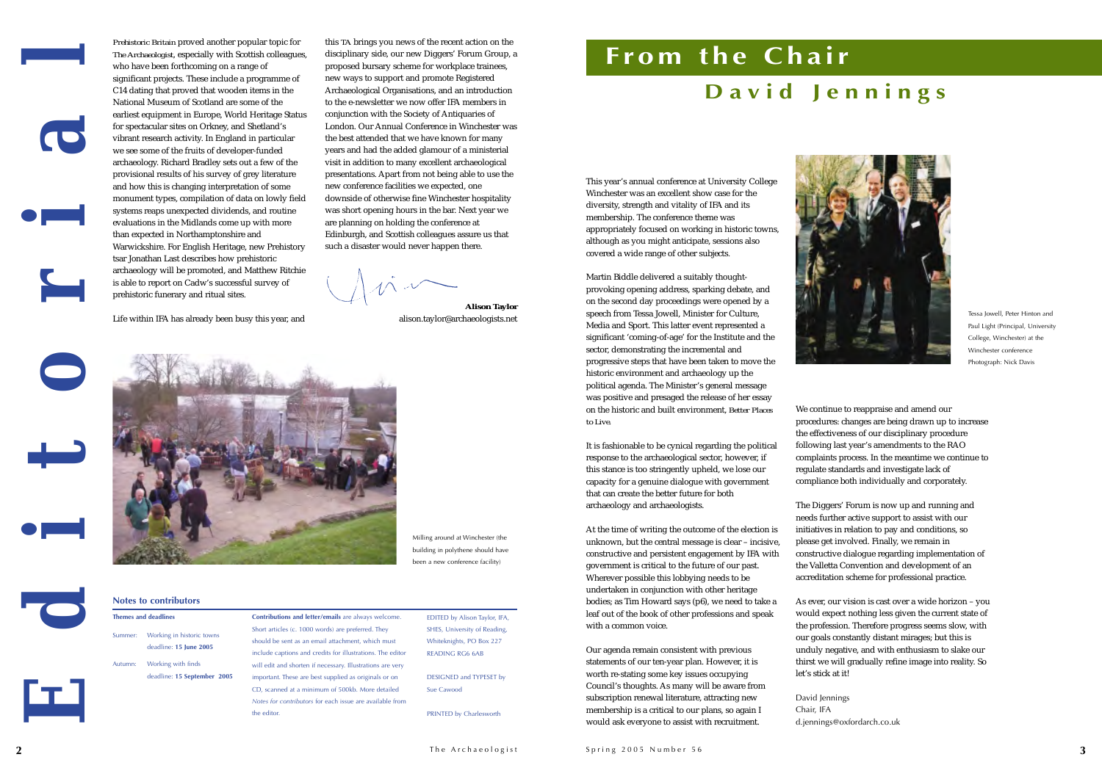# **From the Chair**



*Prehistoric Britain* proved another popular topic for *The Archaeologist*, especially with Scottish colleagues, who have been forthcoming on a range of significant projects. These include a programme of C14 dating that proved that wooden items in the National Museum of Scotland are some of theearliest equipment in Europe, World Heritage Status for spectacular sites on Orkney, and Shetland's vibrant research activity. In England in particular we see some of the fruits of developer-funded archaeology. Richard Bradley sets out a few of the provisional results of his survey of grey literature and how this is changing interpretation of some monument types, compilation of data on lowly field systems reaps unexpected dividends, and routine evaluations in the Midlands come up with more than expected in Northamptonshire and Warwickshire. For English Heritage, new Prehistory tsar Jonathan Last describes how prehistoric archaeology will be promoted, and Matthew Ritchie is able to report on Cadw's successful survey of prehistoric funerary and ritual sites.

Life within IFA has already been busy this year, and

This year's annual conference at University College Winchester was an excellent show case for the diversity, strength and vitality of IFA and its membership. The conference theme was appropriately focused on working in historic towns, although as you might anticipate, sessions also covered a wide range of other subjects*.*

Martin Biddle delivered a suitably thoughtprovoking opening address, sparking debate, and on the second day proceedings were opened by a speech from Tessa Jowell, Minister for Culture, Media and Sport. This latter event represented a significant 'coming-of-age' for the Institute and the sector, demonstrating the incremental and progressive steps that have been taken to move the historic environment and archaeology up the political agenda. The Minister's general message was positive and presaged the release of her essay on the historic and built environment, *Better Places to Live.*

It is fashionable to be cynical regarding the political response to the archaeological sector, however, if this stance is too stringently upheld, we lose our capacity for a genuine dialogue with government that can create the better future for both archaeology and archaeologists.

At the time of writing the outcome of the election is unknown, but the central message is clear – incisive, constructive and persistent engagement by IFA with government is critical to the future of our past. Wherever possible this lobbying needs to be undertaken in conjunction with other heritage bodies; as Tim Howard says (p6), we need to take a leaf out of the book of other professions and speak with a common voice.

Our agenda remain consistent with previous statements of our ten-year plan. However, it is worth re-stating some key issues occupying Council's thoughts. As many will be aware from subscription renewal literature, attracting new membership is a critical to our plans, so again I would ask everyone to assist with recruitment.



We continue to reappraise and amend our procedures: changes are being drawn up to increase the effectiveness of our disciplinary procedure following last year's amendments to the RAO complaints process. In the meantime we continue to regulate standards and investigate lack of compliance both individually and corporately.

The Diggers' Forum is now up and running and needs further active support to assist with our initiatives in relation to pay and conditions, so please get involved. Finally, we remain in constructive dialogue regarding implementation of the Valletta Convention and development of an accreditation scheme for professional practice.

As ever, our vision is cast over a wide horizon – you would expect nothing less given the current state of the profession. Therefore progress seems slow, with our goals constantly distant mirages; but this is unduly negative, and with enthusiasm to slake our thirst we will gradually refine image into reality. So

let's stick at it!

David Jennings Chair, IFA

d.jennings@oxfordarch.co.uk

this *TA* brings you news of the recent action on the disciplinary side, our new Diggers' Forum Group, a proposed bursary scheme for workplace trainees, new ways to support and promote Registered Archaeological Organisations, and an introduction to the e-newsletter we now offer IFA members in conjunction with the Society of Antiquaries of London. Our Annual Conference in Winchester was the best attended that we have known for many years and had the added glamour of a ministerial visit in addition to many excellent archaeological presentations. Apart from not being able to use the new conference facilities we expected, one downside of otherwise fine Winchester hospitality was short opening hours in the bar. Next year we are planning on holding the conference at Edinburgh, and Scottish colleagues assure us that such a disaster would never happen there.

**Alison Taylor** alison.taylor@archaeologists.net



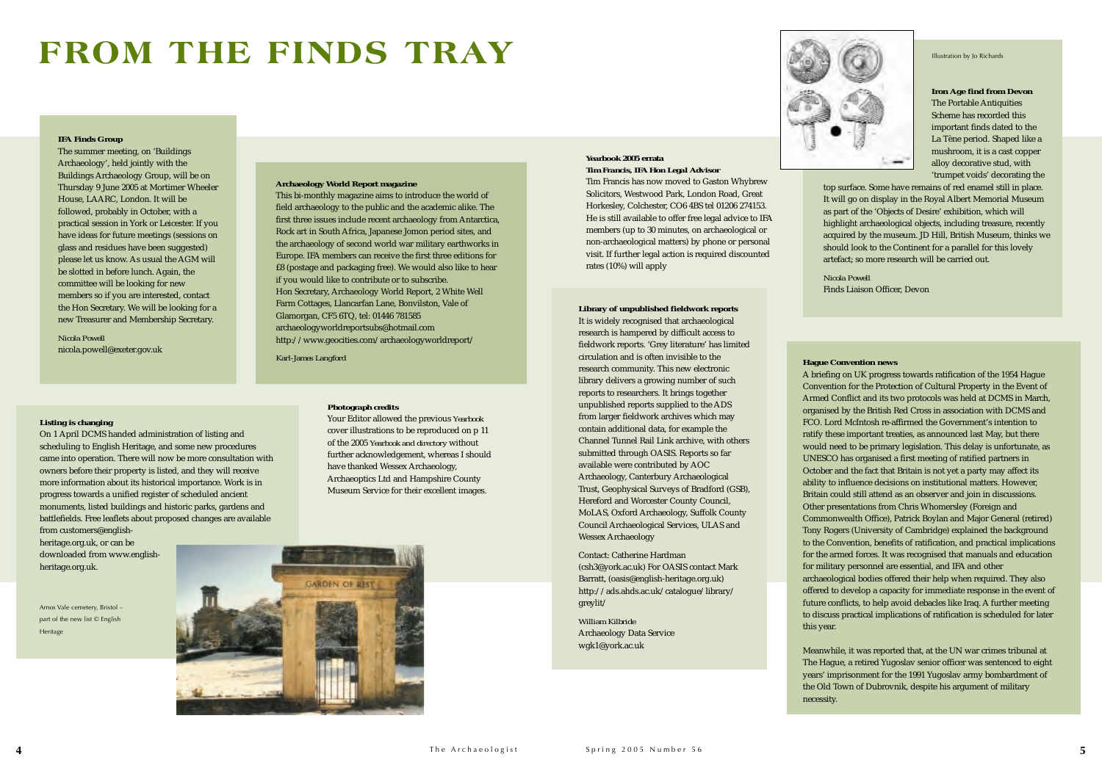### **FROM THE FINDS TRAY**

### *Yearbook* **2005 errata** *Tim Francis, IFA Hon Legal Advisor*

Tim Francis has now moved to Gaston Whybrew Solicitors, Westwood Park, London Road, Great Horkesley, Colchester, CO6 4BS tel 01206 274153. He is still available to offer free legal advice to IFA members (up to 30 minutes, on archaeological or non-archaeological matters) by phone or personal visit. If further legal action is required discounted rates (10%) will apply

### *Photograph credits*

Your Editor allowed the previous *Yearbook* cover illustrations to be reproduced on p 11 of the 2005 *Yearbook and directory* without further acknowledgement, whereas I should have thanked Wessex Archaeology, Archaeoptics Ltd and Hampshire County Museum Service for their excellent images.



### **Hague Convention news**

A briefing on UK progress towards ratification of the 1954 Hague Convention for the Protection of Cultural Property in the Event of Armed Conflict and its two protocols was held at DCMS in March, organised by the British Red Cross in association with DCMS and FCO. Lord McIntosh re-affirmed the Government's intention to ratify these important treaties, as announced last May, but there would need to be primary legislation. This delay is unfortunate, as UNESCO has organised a first meeting of ratified partners in October and the fact that Britain is not yet a party may affect its ability to influence decisions on institutional matters. However, Britain could still attend as an observer and join in discussions. Other presentations from Chris Whomersley (Foreign and Commonwealth Office), Patrick Boylan and Major General (retired) Tony Rogers (University of Cambridge) explained the background to the Convention, benefits of ratification, and practical implications for the armed forces. It was recognised that manuals and education for military personnel are essential, and IFA and other

archaeological bodies offered their help when required. They also offered to develop a capacity for immediate response in the event of future conflicts, to help avoid debacles like Iraq. A further meeting to discuss practical implications of ratification is scheduled for later

this year.

Meanwhile, it was reported that, at the UN war crimes tribunal at The Hague, a retired Yugoslav senior officer was sentenced to eight years' imprisonment for the 1991 Yugoslav army bombardment of the Old Town of Dubrovnik, despite his argument of military

necessity.

**Iron Age find from Devon** The Portable Antiquities Scheme has recorded this important finds dated to the La Tène period. Shaped like a mushroom, it is a cast copper alloy decorative stud, with 'trumpet voids' decorating the

top surface. Some have remains of red enamel still in place. It will go on display in the Royal Albert Memorial Museum as part of the 'Objects of Desire' exhibition, which will highlight archaeological objects, including treasure, recently acquired by the museum. JD Hill, British Museum, thinks we should look to the Continent for a parallel for this lovely artefact; so more research will be carried out.

### *Nicola Powell*Finds Liaison Officer, Devon

### **Listing is changing**

On 1 April DCMS handed administration of listing and scheduling to English Heritage, and some new procedures came into operation. There will now be more consultation with owners before their property is listed, and they will receive more information about its historical importance. Work is in progress towards a unified register of scheduled ancient monuments, listed buildings and historic parks, gardens and battlefields. Free leaflets about proposed changes are available from customers@english-

heritage.org.uk, or can be downloaded from www.englishheritage.org.uk.

### **IFA Finds Group**

The summer meeting, on 'Buildings Archaeology', held jointly with the Buildings Archaeology Group, will be on Thursday 9 June 2005 at Mortimer Wheeler House, LAARC, London. It will be followed, probably in October, with a practical session in York or Leicester. If you have ideas for future meetings (sessions on glass and residues have been suggested) please let us know. As usual the AGM will be slotted in before lunch. Again, the committee will be looking for new members so if you are interested, contact the Hon Secretary. We will be looking for a new Treasurer and Membership Secretary.

*Nicola Powell* nicola.powell@exeter.gov.uk

### **Library of unpublished fieldwork reports**

It is widely recognised that archaeological research is hampered by difficult access to fieldwork reports. 'Grey literature' has limited circulation and is often invisible to the research community. This new electronic library delivers a growing number of such reports to researchers. It brings together unpublished reports supplied to the ADS from larger fieldwork archives which may contain additional data, for example the Channel Tunnel Rail Link archive, with others submitted through OASIS. Reports so far available were contributed by AOC Archaeology, Canterbury Archaeological Trust, Geophysical Surveys of Bradford (GSB), Hereford and Worcester County Council, MoLAS, Oxford Archaeology, Suffolk County Council Archaeological Services, ULAS and Wessex Archaeology

Contact: Catherine Hardman (csh3@york.ac.uk) For OASIS contact Mark Barratt, (oasis@english-heritage.org.uk) http://ads.ahds.ac.uk/catalogue/library/ greylit/

*William Kilbride*Archaeology Data Service wgk1@york.ac.uk



### **Archaeology World Report magazine**

This bi-monthly magazine aims to introduce the world of field archaeology to the public and the academic alike. The first three issues include recent archaeology from Antarctica, Rock art in South Africa, Japanese Jomon period sites, and the archaeology of second world war military earthworks in Europe. IFA members can receive the first three editions for £8 (postage and packaging free). We would also like to hear if you would like to contribute or to subscribe. Hon Secretary, Archaeology World Report, 2 White Well Farm Cottages, Llancarfan Lane, Bonvilston, Vale of Glamorgan, CF5 6TQ, tel: 01446 781585 archaeologyworldreportsubs@hotmail.com http://www.geocities.com/archaeologyworldreport/

*Karl-James Langford*

Arnos Vale cemetery, Bristol – part of the new list © English Heritage

Illustration by Jo Richards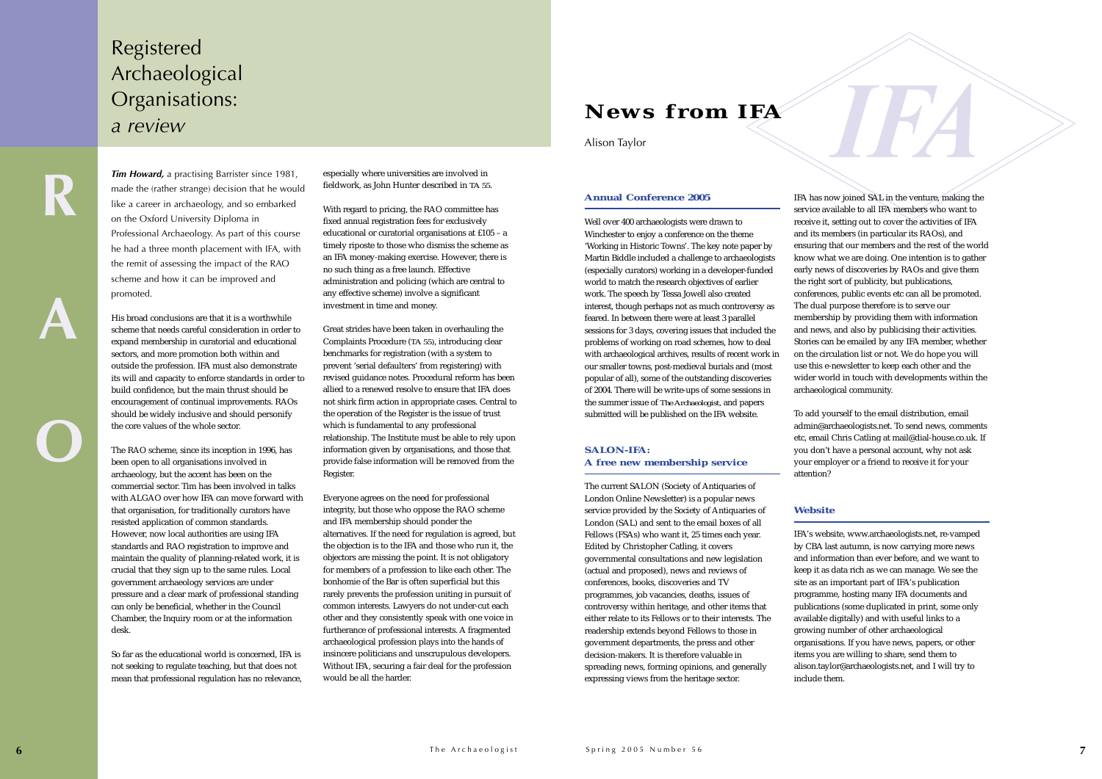*Tim Howard,* a practising Barrister since 1981, made the (rather strange) decision that he would like a career in archaeology, and so embarked on the Oxford University Diploma in Professional Archaeology. As part of this course he had a three month placement with IFA, with the remit of assessing the impact of the RAO scheme and how it can be improved and promoted.

His broad conclusions are that it is a worthwhile scheme that needs careful consideration in order toexpand membership in curatorial and educational sectors, and more promotion both within and outside the profession. IFA must also demonstrate its will and capacity to enforce standards in order to build confidence, but the main thrust should be encouragement of continual improvements. RAOs should be widely inclusive and should personify the core values of the whole sector.

The RAO scheme, since its inception in 1996, has been open to all organisations involved in archaeology, but the accent has been on the commercial sector. Tim has been involved in talks with ALGAO over how IFA can move forward with that organisation, for traditionally curators have resisted application of common standards. However, now local authorities are using IFA standards and RAO registration to improve and maintain the quality of planning-related work, it is crucial that they sign up to the same rules. Local government archaeology services are under pressure and a clear mark of professional standing can only be beneficial, whether in the Council Chamber, the Inquiry room or at the information desk.

So far as the educational world is concerned, IFA is not seeking to regulate teaching, but that does not mean that professional regulation has no relevance, especially where universities are involved in fieldwork, as John Hunter described in *TA 55*.

With regard to pricing, the RAO committee has fixed annual registration fees for exclusively educational or curatorial organisations at £105 – a timely riposte to those who dismiss the scheme as an IFA money-making exercise. However, there is no such thing as a free launch. Effective administration and policing (which are central to any effective scheme) involve a significant investment in time and money.

Great strides have been taken in overhauling the Complaints Procedure (*TA 55)*, introducing clear benchmarks for registration (with a system to prevent 'serial defaulters' from registering) with revised guidance notes. Procedural reform has been allied to a renewed resolve to ensure that IFA does not shirk firm action in appropriate cases. Central to the operation of the Register is the issue of trust which is fundamental to any professional relationship. The Institute must be able to rely upon information given by organisations, and those that provide false information will be removed from the Register.

Everyone agrees on the need for professional integrity, but those who oppose the RAO scheme and IFA membership should ponder the alternatives. If the need for regulation is agreed, but the objection is to the IFA and those who run it, the objectors are missing the point. It is not obligatory for members of a profession to like each other. The bonhomie of the Bar is often superficial but this rarely prevents the profession uniting in pursuit of common interests. Lawyers do not under-cut each other and they consistently speak with one voice in furtherance of professional interests. A fragmented archaeological profession plays into the hands of insincere politicians and unscrupulous developers. Without IFA, securing a fair deal for the profession would be all the harder.

### Registered Archaeological Organisations: *a review*

### **Annual Conference 2005**

Well over 400 archaeologists were drawn to Winchester to enjoy a conference on the theme 'Working in Historic Towns'. The key note paper by Martin Biddle included a challenge to archaeologists (especially curators) working in a developer-funded world to match the research objectives of earlier work. The speech by Tessa Jowell also created interest, though perhaps not as much controversy as feared. In between there were at least 3 parallel sessions for 3 days, covering issues that included the problems of working on road schemes, how to deal with archaeological archives, results of recent work in our smaller towns, post-medieval burials and (most popular of all), some of the outstanding discoveries of 2004. There will be write-ups of some sessions in the summer issue of *The Archaeologist,* and papers submitted will be published on the IFA website.

### **SALON-IFA: A free new membership service**

The current SALON (Society of Antiquaries of London Online Newsletter) is a popular news service provided by the Society of Antiquaries of London (SAL) and sent to the email boxes of all Fellows (FSAs) who want it, 25 times each year. Edited by Christopher Catling, it covers governmental consultations and new legislation (actual and proposed), news and reviews of conferences, books, discoveries and TV programmes, job vacancies, deaths, issues of controversy within heritage, and other items that either relate to its Fellows or to their interests. The readership extends beyond Fellows to those in government departments, the press and other decision-makers. It is therefore valuable in spreading news, forming opinions, and generally expressing views from the heritage sector.

IFA has now joined SAL in the venture, making the service available to all IFA members who want to receive it, setting out to cover the activities of IFA and its members (in particular its RAOs), and ensuring that our members and the rest of the world know what we are doing. One intention is to gather early news of discoveries by RAOs and give them the right sort of publicity, but publications, conferences, public events etc can all be promoted. The dual purpose therefore is to serve our membership by providing them with information and news, and also by publicising their activities. Stories can be emailed by any IFA member, whether on the circulation list or not. We do hope you will use this e-newsletter to keep each other and the wider world in touch with developments within the archaeological community.

To add yourself to the email distribution, email admin@archaeologists.net. To send news, comments etc, email Chris Catling at mail@dial-house.co.uk. If you don't have a personal account, why not ask your employer or a friend to receive it for your

attention?

### **Website**

IFA's website, www.archaeologists.net, re-vamped by CBA last autumn, is now carrying more news and information than ever before, and we want to keep it as data rich as we can manage. We see the site as an important part of IFA's publication programme, hosting many IFA documents and publications (some duplicated in print, some only available digitally) and with useful links to a growing number of other archaeological organisations. If you have news, papers, or other items you are willing to share, send them to alison.taylor@archaeologists.net, and I will try to include them.

### **News from IFA**

### Alison Taylor

**A**

**O**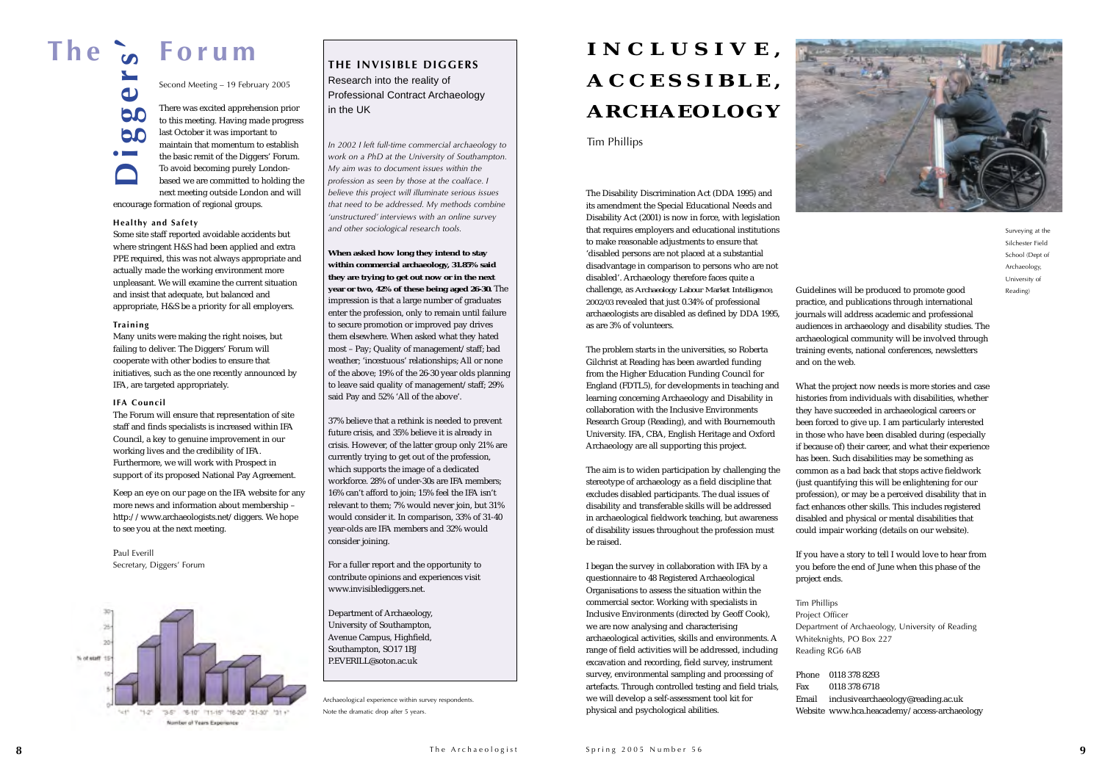Second Meeting – 19 February 2005 There was excited apprehension prior to this meeting. Having made progress last October it was important to maintain that momentum to establish the basic remit of the Diggers' Forum. To avoid becoming purely Londonbased we are committed to holding the

next meeting outside London and will encourage formation of regional groups.

### **Healthy and Safety**

Some site staff reported avoidable accidents but where stringent H&S had been applied and extra PPE required, this was not always appropriate and actually made the working environment more unpleasant. We will examine the current situation and insist that adequate, but balanced and appropriate, H&S be a priority for all employers.

### **Training**

Many units were making the right noises, but failing to deliver. The Diggers' Forum will cooperate with other bodies to ensure that initiatives, such as the one recently announced by IFA, are targeted appropriately.

### **IFA Council**

The Forum will ensure that representation of site staff and finds specialists is increased within IFA Council, a key to genuine improvement in our working lives and the credibility of IFA. Furthermore, we will work with Prospect in support of its proposed National Pay Agreement.

Keep an eye on our page on the IFA website for any more news and information about membership – http://www.archaeologists.net/diggers. We hope to see you at the next meeting.

Paul EverillSecretary, Diggers' Forum



*In 2002 I left full-time commercial archaeology to work on a PhD at the University of Southampton. My aim was to document issues within the profession as seen by those at the coalface. <sup>I</sup> believe this project will illuminate serious issues that need to be addressed. My methods combine 'unstructured' interviews with an online survey and other sociological research tools.*

**When asked how long they intend to stay within commercial archaeology, 31.85% said they are trying to get out now or in the next year or two, 42% of these being aged 26-30.** The impression is that a large number of graduates enter the profession, only to remain until failure to secure promotion or improved pay drives them elsewhere. When asked what they hated most – Pay; Quality of management/staff; bad weather; 'incestuous' relationships; All or none of the above; 19% of the 26-30 year olds planning to leave said quality of management/staff; 29% said Pay and 52% 'All of the above'.

37% believe that a rethink is needed to prevent future crisis, and 35% believe it is already in crisis. However, of the latter group only 21% are currently trying to get out of the profession, which supports the image of a dedicated workforce. 28% of under-30s are IFA members; 16% can't afford to join; 15% feel the IFA isn't relevant to them; 7% would never join, but 31% would consider it. In comparison, 33% of 31-40 year-olds are IFA members and 32% would consider joining.

For a fuller report and the opportunity to contribute opinions and experiences visit www.invisiblediggers.net.

Department of Archaeology, University of Southampton, Avenue Campus, Highfield, Southampton, SO17 1BJ P.EVERILL@soton.ac.uk

**The Forum**

**Diggers'**

The Disability Discrimination Act (DDA 1995) and its amendment the Special Educational Needs and Disability Act (2001) is now in force, with legislation that requires employers and educational institutions to make reasonable adjustments to ensure that 'disabled persons are not placed at a substantial disadvantage in comparison to persons who are not disabled'. Archaeology therefore faces quite a challenge, as *Archaeology Labour Market Intelligence, 2002/03* revealed that just 0.34% of professional archaeologists are disabled as defined by DDA 1995, as are 3% of volunteers.

The problem starts in the universities, so Roberta Gilchrist at Reading has been awarded funding from the Higher Education Funding Council for England (FDTL5), for developments in teaching and learning concerning Archaeology and Disability in collaboration with the Inclusive Environments Research Group (Reading), and with Bournemouth University. IFA, CBA, English Heritage and Oxford Archaeology are all supporting this project.

The aim is to widen participation by challenging the stereotype of archaeology as a field discipline that excludes disabled participants. The dual issues of disability and transferable skills will be addressed in archaeological fieldwork teaching, but awareness of disability issues throughout the profession must be raised.

I began the survey in collaboration with IFA by a questionnaire to 48 Registered Archaeological Organisations to assess the situation within the commercial sector. Working with specialists in Inclusive Environments (directed by Geoff Cook), we are now analysing and characterising archaeological activities, skills and environments. A range of field activities will be addressed, including excavation and recording, field survey, instrument survey, environmental sampling and processing of artefacts. Through controlled testing and field trials, we will develop a self-assessment tool kit for physical and psychological abilities.

Guidelines will be produced to promote good practice, and publications through international journals will address academic and professional audiences in archaeology and disability studies. The archaeological community will be involved through training events, national conferences, newsletters

and on the web.

What the project now needs is more stories and case histories from individuals with disabilities, whether they have succeeded in archaeological careers or been forced to give up. I am particularly interested in those who have been disabled during (especially if because of) their career, and what their experience has been. Such disabilities may be something as common as a bad back that stops active fieldwork (just quantifying this will be enlightening for our profession), or may be a perceived disability that in fact enhances other skills. This includes registered disabled and physical or mental disabilities that could impair working (details on our website).

If you have a story to tell I would love to hear from you before the end of June when this phase of the project ends.

Tim Phillips Project Officer Department of Archaeology, University of Reading Whiteknights, PO Box 227 Reading RG6 6AB

Phone 0118 378 8293Fax 0118 378 6718Email inclusivearchaeology@reading.ac.uk Website www.hca.heacademy/access-archaeology

Surveying at the Silchester Field School (Dept of Archaeology, University of Reading)

Archaeological experience within survey respondents. Note the dramatic drop after 5 years.

**THE INVISIBLE DIGGERS**

Research into the reality of Professional Contract Archaeology in the UK

### **INCLUSIVE, ACCESSIBLE, ARCHAEOLOGY**

Tim Phillips

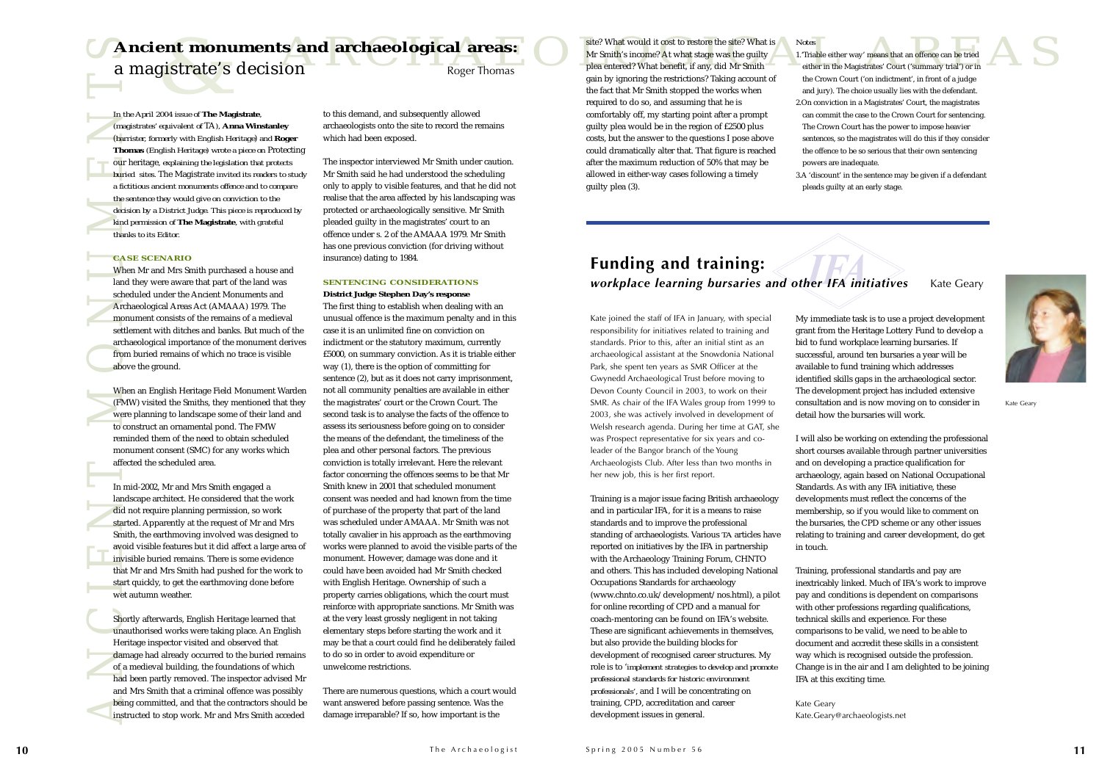**ANCIENT MONUMENTS**<br> *ANCIENT*<br> *MONUMENTS*<br> *ANCIENT MONUMENTSCRIPS*<br> *ANCIENT*<br> *ANCIENT MONUMENTS*<br> *ANCIENT MONUMENTS*<br> *ANCIENT MONUMENT MONUMENT*<br> *ANCIENT*<br> *ANCIENT MONUMENT MONUMENT MONUMENT MONUMENT MONUMENTS*<br> *In the April 2004 issue of* **The Magistrate***, (magistrates' equivalent of* TA*),* **Anna Winstanley** (*barrister, formerly with English Heritage*) *and* **Roger Thomas** *(English Heritage) wrote a piece on* Protecting our heritage*, explaining the legislation that protects buried sites.* The Magistrate *invited its readers to study a fictitious ancient monuments offence and to compare the sentence they would give on conviction to the decision by a District Judge. This piece is reproduced by kind permission of* **The Magistrate***, with grateful thanks to its Editor.*

When Mr and Mrs Smith purchased a house and land they were aware that part of the land was scheduled under the Ancient Monuments and Archaeological Areas Act (AMAAA) 1979. The monument consists of the remains of a medieval settlement with ditches and banks. But much of the archaeological importance of the monument derives from buried remains of which no trace is visible above the ground.

### **CASE SCENARIO**

When an English Heritage Field Monument Warden (FMW) visited the Smiths, they mentioned that they were planning to landscape some of their land and to construct an ornamental pond. The FMW reminded them of the need to obtain scheduled monument consent (SMC) for any works which affected the scheduled area.

In mid-2002, Mr and Mrs Smith engaged a landscape architect. He considered that the work did not require planning permission, so work started. Apparently at the request of Mr and Mrs Smith, the earthmoving involved was designed to avoid visible features but it did affect a large area of invisible buried remains. There is some evidencethat Mr and Mrs Smith had pushed for the work to start quickly, to get the earthmoving done before wet autumn weather.

Shortly afterwards, English Heritage learned that unauthorised works were taking place. An English Heritage inspector visited and observed that damage had already occurred to the buried remains of a medieval building, the foundations of which had been partly removed. The inspector advised Mr and Mrs Smith that a criminal offence was possibly being committed, and that the contractors should be instructed to stop work. Mr and Mrs Smith acceded

to this demand, and subsequently allowed archaeologists onto the site to record the remains which had been exposed.

The inspector interviewed Mr Smith under caution. Mr Smith said he had understood the scheduling only to apply to visible features, and that he did not realise that the area affected by his landscaping was protected or archaeologically sensitive. Mr Smith pleaded guilty in the magistrates' court to an offence under s. 2 of the AMAAA 1979. Mr Smithhas one previous conviction (for driving without insurance) dating to 1984.

### **SENTENCING CONSIDERATIONS**

**Example 18 and archaeological areas:**<br>Bigger Thomas Roger Thomas Roger Thomas Roger Thomas Reads and the fact that Mr Smith such and the capital area and the count (on indictment, in front of a judge the fact that Mr Smit site? What would it cost to restore the site? What is Mr Smith's income? At what stage was the guilty plea entered? What benefit, if any, did Mr Smith gain by ignoring the restrictions? Taking account of the fact that Mr Smith stopped the works when required to do so, and assuming that he is comfortably off, my starting point after a prompt guilty plea would be in the region of £2500 plus costs, but the answer to the questions I pose above could dramatically alter that. That figure is reached after the maximum reduction of 50% that may be allowed in either-way cases following a timely guilty plea (3).

> **District Judge Stephen Day's response** The first thing to establish when dealing with an unusual offence is the maximum penalty and in this case it is an unlimited fine on conviction onindictment or the statutory maximum, currently £5000, on summary conviction. As it is triable either way (1), there is the option of committing for sentence (2), but as it does not carry imprisonment, not all community penalties are available in either the magistrates' court or the Crown Court. The second task is to analyse the facts of the offence to assess its seriousness before going on to consider the means of the defendant, the timeliness of the plea and other personal factors. The previous conviction is totally irrelevant. Here the relevant factor concerning the offences seems to be that Mr Smith knew in 2001 that scheduled monument consent was needed and had known from the timeof purchase of the property that part of the land was scheduled under AMAAA. Mr Smith was not totally cavalier in his approach as the earthmoving works were planned to avoid the visible parts of the monument. However, damage was done and it could have been avoided had Mr Smith checked with English Heritage. Ownership of such a property carries obligations, which the court must reinforce with appropriate sanctions. Mr Smith was at the very least grossly negligent in not taking elementary steps before starting the work and it may be that a court could find he deliberately failed to do so in order to avoid expenditure or unwelcome restrictions.

### **Funding and training:** *workplace learning bursaries and other IFA initiatives* Kate Geary

There are numerous questions, which a court would want answered before passing sentence. Was the damage irreparable? If so, how important is the

*Notes*

1.'Triable either way' means that an offence can be tried either in the Magistrates' Court ('summary trial') or in the Crown Court ('on indictment', in front of a judge and jury). The choice usually lies with the defendant. 2.On conviction in a Magistrates' Court, the magistrates can commit the case to the Crown Court for sentencing. The Crown Court has the power to impose heavier sentences, so the magistrates will do this if they consider the offence to be so serious that their own sentencing powers are inadequate.

3.A 'discount' in the sentence may be given if a defendant pleads guilty at an early stage.

**Ancient monuments and archaeological areas:** 

a magistrate's decision Roger Thomas

Kate joined the staff of IFA in January, with special responsibility for initiatives related to training and standards. Prior to this, after an initial stint as an archaeological assistant at the Snowdonia National Park, she spent ten years as SMR Officer at the Gwynedd Archaeological Trust before moving to Devon County Council in 2003, to work on their SMR. As chair of the IFA Wales group from 1999 to 2003, she was actively involved in development of Welsh research agenda. During her time at GAT, she was Prospect representative for six years and coleader of the Bangor branch of the Young Archaeologists Club. After less than two months in her new job, this is her first report.

Training is a major issue facing British archaeology and in particular IFA, for it is a means to raise standards and to improve the professional standing of archaeologists. Various *TA* articles have reported on initiatives by the IFA in partnership with the Archaeology Training Forum, CHNTO and others. This has included developing National Occupations Standards for archaeology (www.chnto.co.uk/development/nos.html), a pilot for online recording of CPD and a manual for coach-mentoring can be found on IFA's website. These are significant achievements in themselves, but also provide the building blocks for development of recognised career structures. My role is to '*implement strategies to develop and promote professional standards for historic environment professionals',* and I will be concentrating on training, CPD, accreditation and career development issues in general.

My immediate task is to use a project development grant from the Heritage Lottery Fund to develop a bid to fund workplace learning bursaries. If successful, around ten bursaries a year will be available to fund training which addresses identified skills gaps in the archaeological sector. The development project has included extensive consultation and is now moving on to consider in detail how the bursaries will work.

I will also be working on extending the professional short courses available through partner universities and on developing a practice qualification for archaeology, again based on National Occupational Standards. As with any IFA initiative, these developments must reflect the concerns of the membership, so if you would like to comment on the bursaries, the CPD scheme or any other issues relating to training and career development, do get



in touch.

Training, professional standards and pay are inextricably linked. Much of IFA's work to improve pay and conditions is dependent on comparisons with other professions regarding qualifications, technical skills and experience. For these comparisons to be valid, we need to be able to document and accredit these skills in a consistent way which is recognised outside the profession. Change is in the air and I am delighted to be joining IFA at this exciting time.

Kate Geary Kate.Geary@archaeologists.net Kate Geary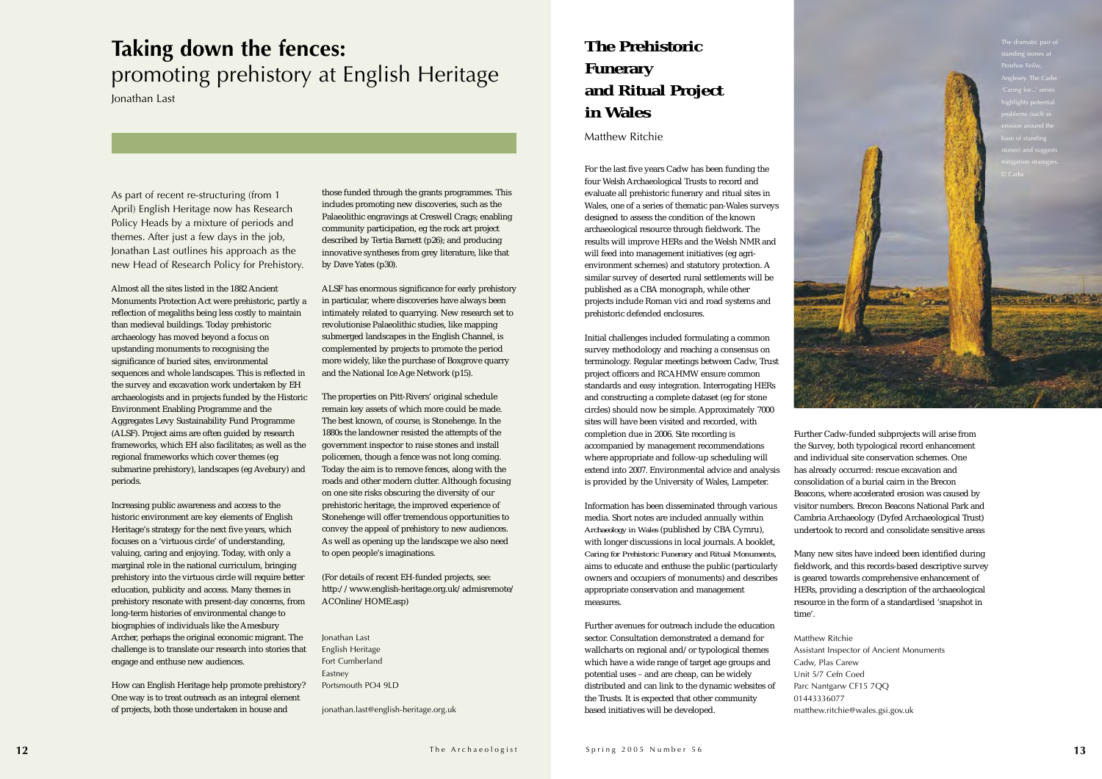Further Cadw-funded subprojects will arise from the Survey, both typological record enhancement and individual site conservation schemes. One has already occurred: rescue excavation and consolidation of a burial cairn in the Brecon Beacons, where accelerated erosion was caused by visitor numbers. Brecon Beacons National Park andCambria Archaeology (Dyfed Archaeological Trust) undertook to record and consolidate sensitive areas

Many new sites have indeed been identified during fieldwork, and this records-based descriptive survey is geared towards comprehensive enhancement of HERs, providing a description of the archaeological resource in the form of a standardised 'snapshot in

time'.

Matthew Ritchie Cadw, Plas Carew Unit 5/7 Cefn Coed 01443336077

Assistant Inspector of Ancient Monuments Parc Nantgarw CF15 7QQ matthew.ritchie@wales.gsi.gov.uk

As part of recent re-structuring (from 1 April) English Heritage now has Research Policy Heads by a mixture of periods and themes. After just a few days in the job, Jonathan Last outlines his approach as the new Head of Research Policy for Prehistory.

Almost all the sites listed in the 1882 Ancient Monuments Protection Act were prehistoric, partly a reflection of megaliths being less costly to maintain than medieval buildings. Today prehistoric archaeology has moved beyond a focus on upstanding monuments to recognising the significance of buried sites, environmental sequences and whole landscapes. This is reflected in the survey and excavation work undertaken by EH archaeologists and in projects funded by the Historic Environment Enabling Programme and the Aggregates Levy Sustainability Fund Programme (ALSF). Project aims are often guided by research frameworks, which EH also facilitates; as well as the regional frameworks which cover themes (eg submarine prehistory), landscapes (eg Avebury) and periods.

Increasing public awareness and access to the historic environment are key elements of English Heritage's strategy for the next five years, which focuses on a 'virtuous circle' of understanding, valuing, caring and enjoying. Today, with only a marginal role in the national curriculum, bringing prehistory into the virtuous circle will require better education, publicity and access. Many themes in prehistory resonate with present-day concerns, from long-term histories of environmental change to biographies of individuals like the Amesbury Archer, perhaps the original economic migrant. The challenge is to translate our research into stories that engage and enthuse new audiences.

How can English Heritage help promote prehistory? One way is to treat outreach as an integral element of projects, both those undertaken in house and

those funded through the grants programmes. This includes promoting new discoveries, such as the Palaeolithic engravings at Creswell Crags; enabling community participation, eg the rock art project described by Tertia Barnett (p26); and producing innovative syntheses from grey literature, like that by Dave Yates (p30).

ALSF has enormous significance for early prehistory in particular, where discoveries have always been intimately related to quarrying. New research set to revolutionise Palaeolithic studies, like mapping submerged landscapes in the English Channel, is complemented by projects to promote the period more widely, like the purchase of Boxgrove quarry and the National Ice Age Network (p15).

The properties on Pitt-Rivers' original schedule remain key assets of which more could be made. The best known, of course, is Stonehenge. In the 1880s the landowner resisted the attempts of the government inspector to raise stones and install policemen, though a fence was not long coming. Today the aim is to remove fences, along with the roads and other modern clutter. Although focusing on one site risks obscuring the diversity of our prehistoric heritage, the improved experience of Stonehenge will offer tremendous opportunities to convey the appeal of prehistory to new audiences. As well as opening up the landscape we also need to open people's imaginations.

(For details of recent EH-funded projects, see: http://www.english-heritage.org.uk/admisremote/ ACOnline/HOME.asp)

Jonathan Last English Heritage Fort Cumberland Eastney Portsmouth PO4 9LD

jonathan.last@english-heritage.org.uk

For the last five years Cadw has been funding the four Welsh Archaeological Trusts to record and evaluate all prehistoric funerary and ritual sites in Wales, one of a series of thematic pan-Wales surveys designed to assess the condition of the known archaeological resource through fieldwork. The results will improve HERs and the Welsh NMR and will feed into management initiatives (eg agrienvironment schemes) and statutory protection. A similar survey of deserted rural settlements will be published as a CBA monograph, while other projects include Roman vici and road systems and prehistoric defended enclosures.

Initial challenges included formulating a common survey methodology and reaching a consensus on terminology. Regular meetings between Cadw, Trust project officers and RCAHMW ensure common standards and easy integration. Interrogating HERs and constructing a complete dataset (eg for stone circles) should now be simple. Approximately 7000 sites will have been visited and recorded, with completion due in 2006. Site recording is accompanied by management recommendations where appropriate and follow-up scheduling will extend into 2007. Environmental advice and analysis is provided by the University of Wales, Lampeter.

Information has been disseminated through various media. Short notes are included annually within *Archaeology in Wales* (published by CBA Cymru), with longer discussions in local journals. A booklet, *Caring for Prehistoric Funerary and Ritual Monuments*, aims to educate and enthuse the public (particularly owners and occupiers of monuments) and describes appropriate conservation and management measures.

Further avenues for outreach include the educationsector. Consultation demonstrated a demand for wallcharts on regional and/or typological themes which have a wide range of target age groups and potential uses – and are cheap, can be widely distributed and can link to the dynamic websites of the Trusts. It is expected that other community based initiatives will be developed.

### **Taking down the fences:**  promoting prehistory at English Heritage

Jonathan Last

### **The Prehistoric Funerary and Ritual Project in Wales**

Matthew Ritchie

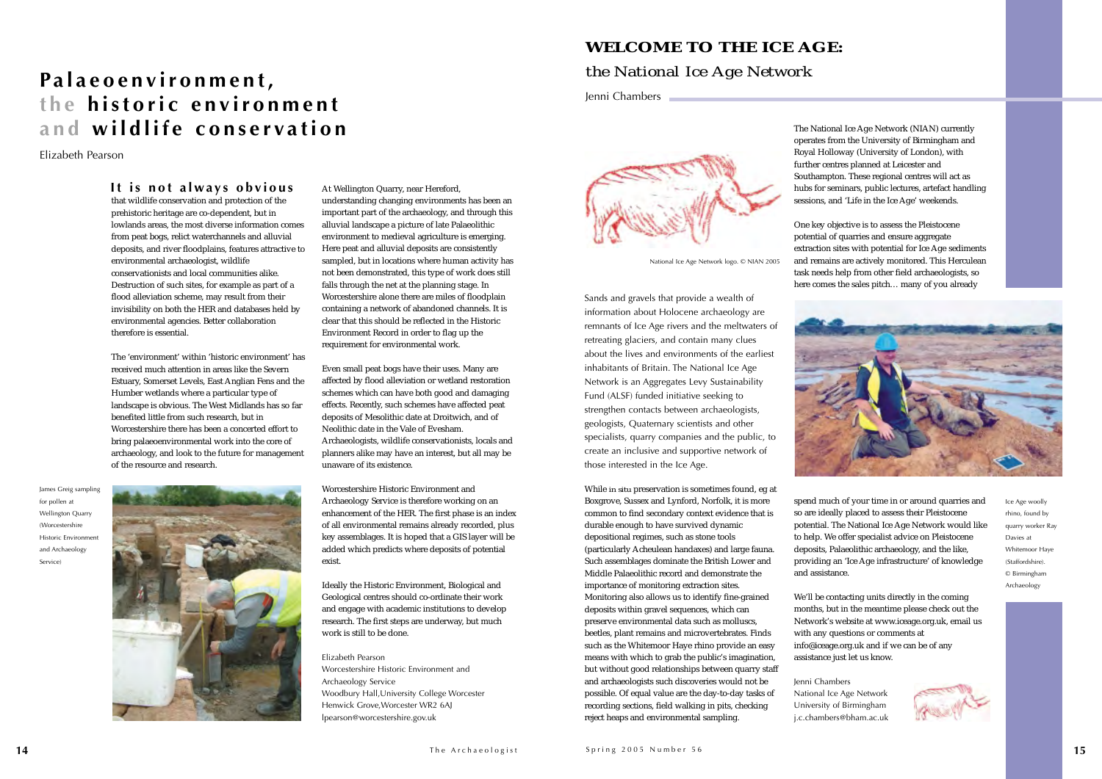that wildlife conservation and protection of the prehistoric heritage are co-dependent, but in lowlands areas, the most diverse information comes from peat bogs, relict waterchannels and alluvial deposits, and river floodplains, features attractive to environmental archaeologist, wildlife conservationists and local communities alike.Destruction of such sites, for example as part of a flood alleviation scheme, may result from their invisibility on both the HER and databases held by environmental agencies. Better collaboration therefore is essential.

The 'environment' within 'historic environment' has received much attention in areas like the Severn Estuary, Somerset Levels, East Anglian Fens and the Humber wetlands where a particular type of landscape is obvious. The West Midlands has so far benefited little from such research, but in Worcestershire there has been a concerted effort to bring palaeoenvironmental work into the core of archaeology, and look to the future for management of the resource and research.

At Wellington Quarry, near Hereford, understanding changing environments has been an important part of the archaeology, and through this alluvial landscape a picture of late Palaeolithic environment to medieval agriculture is emerging. Here peat and alluvial deposits are consistently sampled, but in locations where human activity has not been demonstrated, this type of work does still falls through the net at the planning stage. In Worcestershire alone there are miles of floodplain containing a network of abandoned channels. It is clear that this should be reflected in the Historic Environment Record in order to flag up the requirement for environmental work.

Even small peat bogs have their uses. Many are affected by flood alleviation or wetland restoration schemes which can have both good and damaging effects. Recently, such schemes have affected peat deposits of Mesolithic date at Droitwich, and of Neolithic date in the Vale of Evesham. Archaeologists, wildlife conservationists, locals and planners alike may have an interest, but all may be unaware of its existence.

Worcestershire Historic Environment and Archaeology Service is therefore working on an enhancement of the HER. The first phase is an index of all environmental remains already recorded, plus key assemblages. It is hoped that a GIS layer will be added which predicts where deposits of potential exist.

Ideally the Historic Environment, Biological and Geological centres should co-ordinate their work and engage with academic institutions to develop research. The first steps are underway, but much work is still to be done.

Elizabeth Pearson Worcestershire Historic Environment and Archaeology Service Woodbury Hall,University College Worcester Henwick Grove,Worcester WR2 6AJ lpearson@worcestershire.gov.uk

The National Ice Age Network (NIAN) currently operates from the University of Birmingham and Royal Holloway (University of London), with further centres planned at Leicester and Southampton. These regional centres will act as hubs for seminars, public lectures, artefact handling sessions, and 'Life in the Ice Age' weekends.

One key objective is to assess the Pleistocene potential of quarries and ensure aggregate extraction sites with potential for Ice Age sediments and remains are actively monitored. This Herculean task needs help from other field archaeologists, so here comes the sales pitch… many of you already

spend much of your time in or around quarries and so are ideally placed to assess their Pleistocene potential. The National Ice Age Network would like to help. We offer specialist advice on Pleistocene deposits, Palaeolithic archaeology, and the like, providing an 'Ice Age infrastructure' of knowledge

and assistance.

We'll be contacting units directly in the coming months, but in the meantime please check out the Network's website at www.iceage.org.uk, email us with any questions or comments at info@iceage.org.uk and if we can be of any assistance just let us know.

Jenni Chambers

National Ice Age Network University of Birmingham j.c.chambers@bham.ac.uk



Sands and gravels that provide a wealth of information about Holocene archaeology are remnants of Ice Age rivers and the meltwaters of retreating glaciers, and contain many clues about the lives and environments of the earliest inhabitants of Britain. The National Ice Age Network is an Aggregates Levy Sustainability Fund (ALSF) funded initiative seeking to strengthen contacts between archaeologists, geologists, Quaternary scientists and other specialists, quarry companies and the public, to create an inclusive and supportive network of those interested in the Ice Age.

While *in situ* preservation is sometimes found, eg at Boxgrove, Sussex and Lynford, Norfolk, it is more common to find secondary context evidence that is durable enough to have survived dynamic depositional regimes, such as stone tools (particularly Acheulean handaxes) and large fauna. Such assemblages dominate the British Lower and Middle Palaeolithic record and demonstrate theimportance of monitoring extraction sites. Monitoring also allows us to identify fine-grained deposits within gravel sequences, which can preserve environmental data such as molluscs, beetles, plant remains and microvertebrates. Finds such as the Whitemoor Haye rhino provide an easy means with which to grab the public's imagination, but without good relationships between quarry staff and archaeologists such discoveries would not be possible. Of equal value are the day-to-day tasks of recording sections, field walking in pits, checking reject heaps and environmental sampling.



### **WELCOME TO THE ICE AGE:***the National Ice Age Network*

Jenni Chambers

### **Palaeoenvironment, the historic environment and wildlife conservation**

Elizabeth Pearson

James Greig sampling for pollen at Wellington Quarry (Worcestershire Historic Environment and Archaeology Service)





National Ice Age Network logo. © NIAN 2005

Ice Age woolly rhino, found by quarry worker Ray Davies at Whitemoor Haye (Staffordshire). © Birmingham Archaeology

### **It is not always obvious**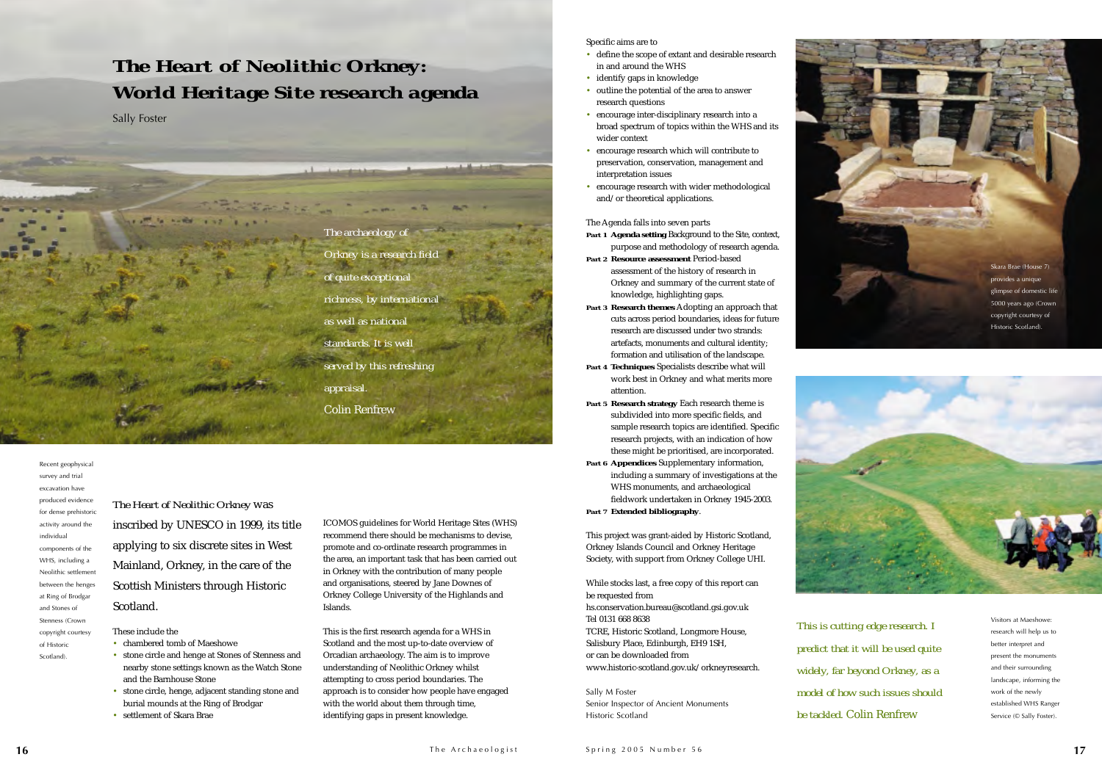*The Heart of Neolithic Orkney* was inscribed by UNESCO in 1999, its title applying to six discrete sites in West Mainland, Orkney, in the care of the Scottish Ministers through Historic Scotland.

### These include the

- chambered tomb of Maeshowe
- stone circle and henge at Stones of Stenness and nearby stone settings known as the Watch Stone and the Barnhouse Stone
- stone circle, henge, adjacent standing stone and burial mounds at the Ring of Brodgar
- settlement of Skara Brae

ICOMOS guidelines for World Heritage Sites (WHS) recommend there should be mechanisms to devise, promote and co-ordinate research programmes in the area, an important task that has been carried out in Orkney with the contribution of many people and organisations, steered by Jane Downes of Orkney College University of the Highlands and Islands.

This is the first research agenda for a WHS in Scotland and the most up-to-date overview of Orcadian archaeology. The aim is to improve understanding of Neolithic Orkney whilst attempting to cross period boundaries. The approach is to consider how people have engaged with the world about them through time, identifying gaps in present knowledge.

Specific aims are to

- define the scope of extant and desirable research in and around the WHS
- identify gaps in knowledge
- outline the potential of the area to answer research questions
- encourage inter-disciplinary research into a broad spectrum of topics within the WHS and its wider context
- encourage research which will contribute to preservation, conservation, management and interpretation issues
- encourage research with wider methodological and/or theoretical applications.

### The Agenda falls into seven parts

### Recent geophysical survey and trial excavation haveproduced evidence for dense prehistoric activity around the individualcomponents of the WHS, including a Neolithic settlement between the henges at Ring of Brodgar and Stones ofStenness (Crown copyright courtesy of HistoricScotland).

- *Part 1* **Agenda setting** Background to the Site, context, purpose and methodology of research agenda.
- *Part 2* **Resource assessment** Period-based assessment of the history of research in Orkney and summary of the current state of knowledge, highlighting gaps.
- *Part 3* **Research themes** Adopting an approach that cuts across period boundaries, ideas for future research are discussed under two strands: artefacts, monuments and cultural identity; formation and utilisation of the landscape.
- *Part 4* **Techniques** Specialists describe what will work best in Orkney and what merits more attention.
- *Part 5* **Research strategy** Each research theme is subdivided into more specific fields, and sample research topics are identified. Specific research projects, with an indication of how these might be prioritised, are incorporated.
- *Part 6* **Appendices** Supplementary information, including a summary of investigations at the WHS monuments, and archaeological fieldwork undertaken in Orkney 1945-2003. *Part 7* **Extended bibliography**.

This project was grant-aided by Historic Scotland, Orkney Islands Council and Orkney Heritage Society, with support from Orkney College UHI.

While stocks last, a free copy of this report can be requested from hs.conservation.bureau@scotland.gsi.gov.uk Tel 0131 668 8638 TCRE, Historic Scotland, Longmore House, Salisbury Place, Edinburgh, EH9 1SH, or can be downloaded from www.historic-scotland.gov.uk/orkneyresearch.

Sally M Foster Senior Inspector of Ancient Monuments Historic Scotland

### *The Heart of Neolithic Orkney: World Heritage Site research agenda*

Sally Foster

*The archaeology of Orkney is a research field of quite exceptional richness, by international as well as nationalstandards. It is well served by this refreshing appraisal.* Colin Renfrew

*This is cutting edge research. I predict that it will be used quite widely, far beyond Orkney, as a model of how such issues should be tackled.* Colin Renfrew





Visitors at Maeshowe:research will help us to better interpret and present the monuments and their surrounding landscape, informing the work of the newly established WHS Ranger Service (© Sally Foster).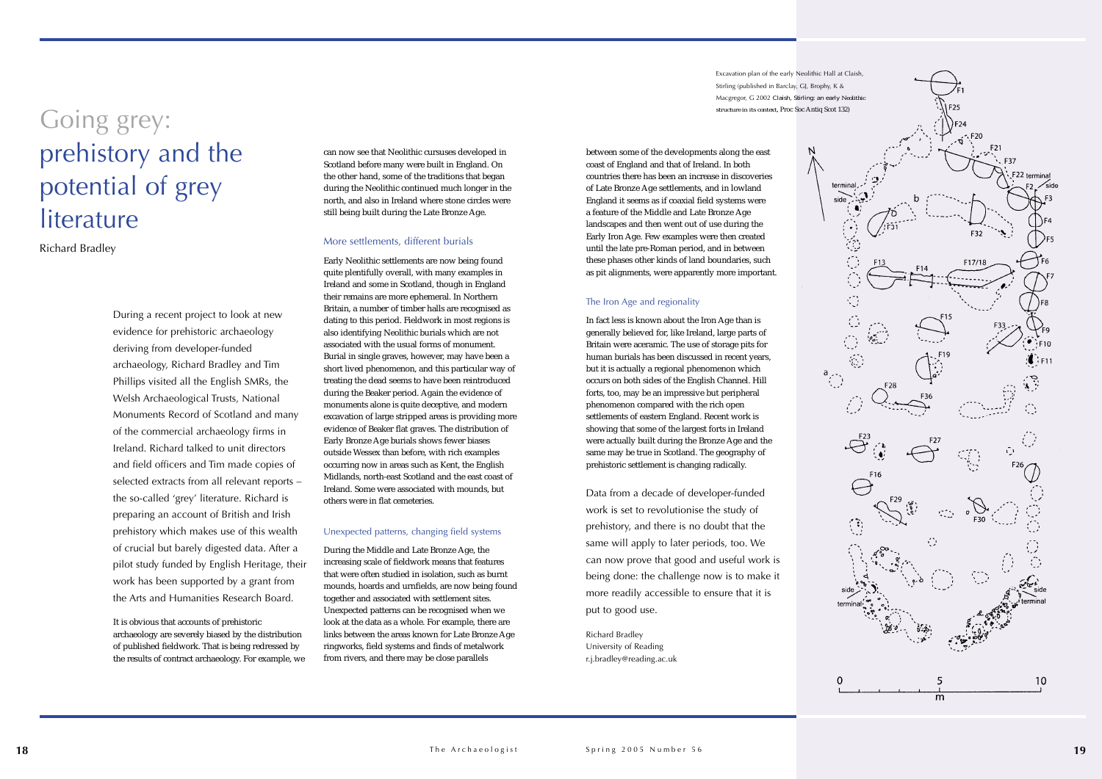



can now see that Neolithic cursuses developed in Scotland before many were built in England. On the other hand, some of the traditions that began during the Neolithic continued much longer in the north, and also in Ireland where stone circles were still being built during the Late Bronze Age.

### More settlements, different burials

Early Neolithic settlements are now being found quite plentifully overall, with many examples in Ireland and some in Scotland, though in England their remains are more ephemeral. In Northern Britain, a number of timber halls are recognised as dating to this period. Fieldwork in most regions is also identifying Neolithic burials which are not associated with the usual forms of monument. Burial in single graves, however, may have been a short lived phenomenon, and this particular way of treating the dead seems to have been reintroduced during the Beaker period. Again the evidence of monuments alone is quite deceptive, and modern excavation of large stripped areas is providing more evidence of Beaker flat graves. The distribution of Early Bronze Age burials shows fewer biases outside Wessex than before, with rich examples occurring now in areas such as Kent, the English Midlands, north-east Scotland and the east coast of Ireland. Some were associated with mounds, but others were in flat cemeteries.

### Unexpected patterns, changing field systems

During the Middle and Late Bronze Age, the increasing scale of fieldwork means that features that were often studied in isolation, such as burnt mounds, hoards and urnfields, are now being found together and associated with settlement sites. Unexpected patterns can be recognised when we look at the data as a whole. For example, there are links between the areas known for Late Bronze Age ringworks, field systems and finds of metalwork from rivers, and there may be close parallels

During a recent project to look at new evidence for prehistoric archaeology deriving from developer-funded archaeology, Richard Bradley and Tim Phillips visited all the English SMRs, the Welsh Archaeological Trusts, National Monuments Record of Scotland and many of the commercial archaeology firms in Ireland. Richard talked to unit directors and field officers and Tim made copies of selected extracts from all relevant reports – the so-called 'grey' literature. Richard is preparing an account of British and Irish prehistory which makes use of this wealth of crucial but barely digested data. After a pilot study funded by English Heritage, their work has been supported by a grant from the Arts and Humanities Research Board.

It is obvious that accounts of prehistoric archaeology are severely biased by the distribution of published fieldwork. That is being redressed by the results of contract archaeology. For example, we between some of the developments along the east coast of England and that of Ireland. In both countries there has been an increase in discoveries of Late Bronze Age settlements, and in lowland England it seems as if coaxial field systems were a feature of the Middle and Late Bronze Age landscapes and then went out of use during the Early Iron Age. Few examples were then created until the late pre-Roman period, and in between these phases other kinds of land boundaries, such as pit alignments, were apparently more important.

### The Iron Age and regionality

In fact less is known about the Iron Age than is generally believed for, like Ireland, large parts of Britain were aceramic. The use of storage pits for human burials has been discussed in recent years, but it is actually a regional phenomenon which occurs on both sides of the English Channel. Hill forts, too, may be an impressive but peripheral phenomenon compared with the rich open settlements of eastern England. Recent work is showing that some of the largest forts in Ireland were actually built during the Bronze Age and the same may be true in Scotland. The geography of prehistoric settlement is changing radically.

Data from a decade of developer-funded work is set to revolutionise the study of prehistory, and there is no doubt that the same will apply to later periods, too. We can now prove that good and useful work is being done: the challenge now is to make it more readily accessible to ensure that it is put to good use.

Richard Bradley University of Reading r.j.bradley@reading.ac.uk

### Going grey: prehistory and the potential of grey literature

Richard Bradley

Excavation plan of the early Neolithic Hall at Claish, Stirling (published in Barclay, GJ, Brophy, K & Macgregor, G 2002 *Claish, Stirling: an early Neolithic structure in its context*, Proc Soc Antiq Scot 132)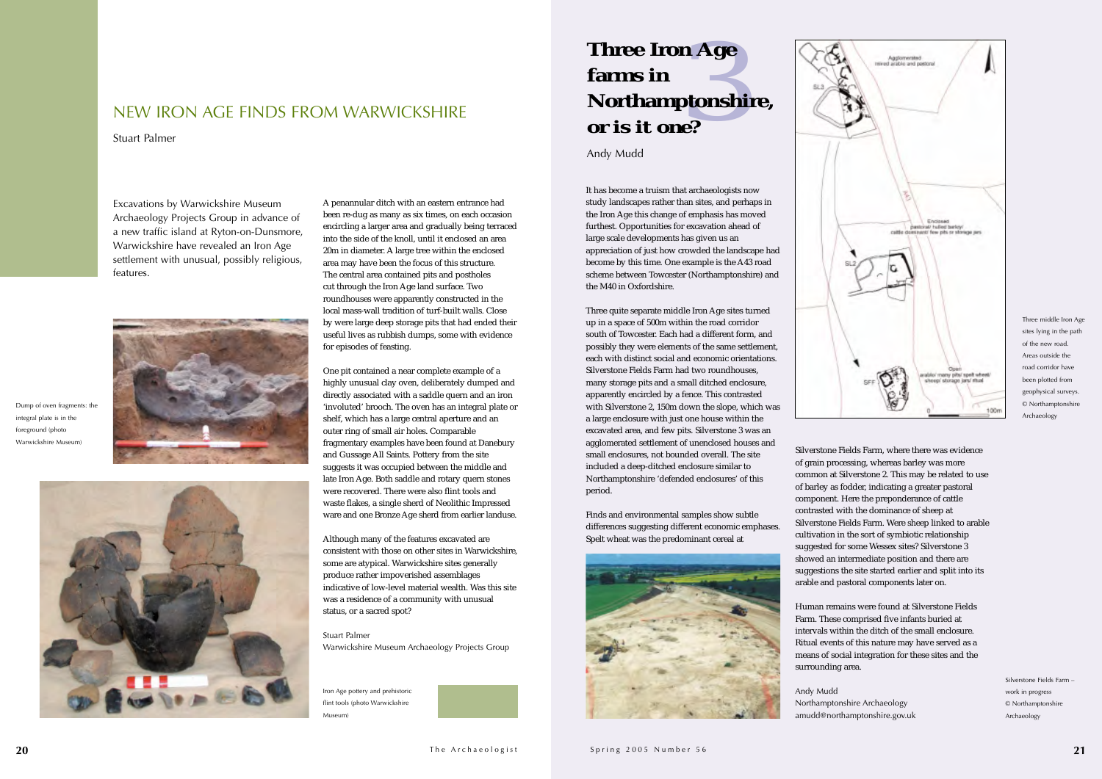

It has become a truism that archaeologists now study landscapes rather than sites, and perhaps in the Iron Age this change of emphasis has moved furthest. Opportunities for excavation ahead of large scale developments has given us an appreciation of just how crowded the landscape had become by this time. One example is the A43 road scheme between Towcester (Northamptonshire) and the M40 in Oxfordshire.

Three quite separate middle Iron Age sites turned up in a space of 500m within the road corridor south of Towcester. Each had a different form, and possibly they were elements of the same settlement, each with distinct social and economic orientations. Silverstone Fields Farm had two roundhouses, many storage pits and a small ditched enclosure, apparently encircled by a fence. This contrasted with Silverstone 2, 150m down the slope, which was a large enclosure with just one house within the excavated area, and few pits. Silverstone 3 was an agglomerated settlement of unenclosed houses and small enclosures, not bounded overall. The site included a deep-ditched enclosure similar to Northamptonshire 'defended enclosures' of this period.

Finds and environmental samples show subtle differences suggesting different economic emphases. Spelt wheat was the predominant cereal at



A penannular ditch with an eastern entrance had been re-dug as many as six times, on each occasion encircling a larger area and gradually being terraced into the side of the knoll, until it enclosed an area 20m in diameter. A large tree within the enclosed area may have been the focus of this structure. The central area contained pits and postholes cut through the Iron Age land surface. Two roundhouses were apparently constructed in the local mass-wall tradition of turf-built walls. Close by were large deep storage pits that had ended their useful lives as rubbish dumps, some with evidence for episodes of feasting.

One pit contained a near complete example of a highly unusual clay oven, deliberately dumped and directly associated with a saddle quern and an iron 'involuted' brooch. The oven has an integral plate or shelf, which has a large central aperture and an outer ring of small air holes. Comparable fragmentary examples have been found at Danebury and Gussage All Saints. Pottery from the site suggests it was occupied between the middle and late Iron Age. Both saddle and rotary quern stones were recovered. There were also flint tools and waste flakes, a single sherd of Neolithic Impressed ware and one Bronze Age sherd from earlier landuse.

Although many of the features excavated are consistent with those on other sites in Warwickshire, some are atypical. Warwickshire sites generally produce rather impoverished assemblages indicative of low-level material wealth. Was this sitewas a residence of a community with unusual status, or a sacred spot?

Stuart PalmerWarwickshire Museum Archaeology Projects Group

### NEW IRON AGE FINDS FROM WARWICKSHIRE

Stuart Palmer

Silverstone Fields Farm, where there was evidence of grain processing, whereas barley was more common at Silverstone 2. This may be related to use of barley as fodder, indicating a greater pastoral component. Here the preponderance of cattle contrasted with the dominance of sheep at Silverstone Fields Farm. Were sheep linked to arable cultivation in the sort of symbiotic relationship suggested for some Wessex sites? Silverstone 3 showed an intermediate position and there are suggestions the site started earlier and split into its arable and pastoral components later on.

Human remains were found at Silverstone Fields Farm. These comprised five infants buried at intervals within the ditch of the small enclosure. Ritual events of this nature may have served as a means of social integration for these sites and the surrounding area.

Andy Mudd Northamptonshire Archaeology amudd@northamptonshire.gov.uk

Silverstone Fields Farm –work in progress © Northamptonshire Archaeology

Excavations by Warwickshire Museum Archaeology Projects Group in advance of a new traffic island at Ryton-on-Dunsmore, Warwickshire have revealed an Iron Age settlement with unusual, possibly religious, features.



Dump of oven fragments: the integral plate is in the foreground (photo Warwickshire Museum)



Iron Age pottery and prehistoric flint tools (photo Warwickshire Museum)



Three middle Iron Age sites lying in the path of the new road.Areas outside theroad corridor have been plotted from geophysical surveys. © Northamptonshire Archaeology

# *3* **Three Iron Age farms in Northamptonshire,** *or is it one?*

Andy Mudd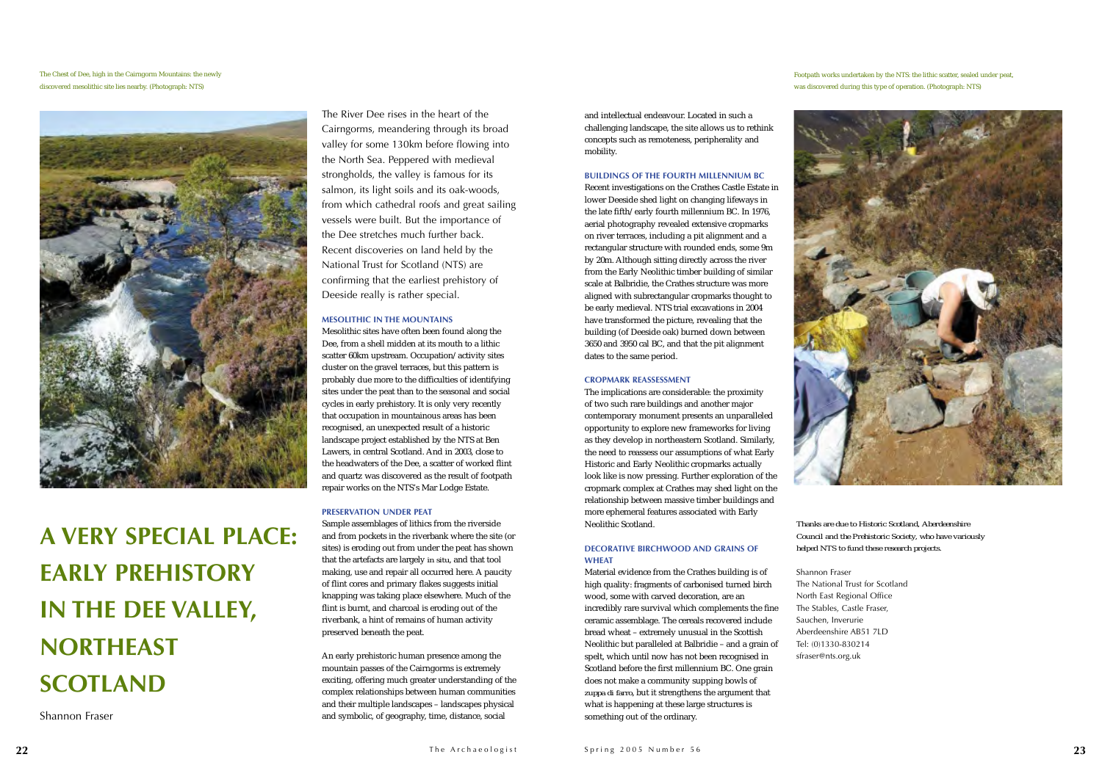and intellectual endeavour. Located in such achallenging landscape, the site allows us to rethink concepts such as remoteness, peripherality and mobility.

### **BUILDINGS OF THE FOURTH MILLENNIUM BC**

Recent investigations on the Crathes Castle Estate in lower Deeside shed light on changing lifeways in the late fifth/early fourth millennium BC. In 1976, aerial photography revealed extensive cropmarks on river terraces, including a pit alignment and a rectangular structure with rounded ends, some 9m by 20m. Although sitting directly across the river from the Early Neolithic timber building of similar scale at Balbridie, the Crathes structure was more aligned with subrectangular cropmarks thought to be early medieval. NTS trial excavations in 2004 have transformed the picture, revealing that the building (of Deeside oak) burned down between 3650 and 3950 cal BC, and that the pit alignment dates to the same period.

### **CROPMARK REASSESSMENT**

The implications are considerable: the proximity of two such rare buildings and another major contemporary monument presents an unparalleled opportunity to explore new frameworks for living as they develop in northeastern Scotland. Similarly, the need to reassess our assumptions of what Early Historic and Early Neolithic cropmarks actually look like is now pressing. Further exploration of the cropmark complex at Crathes may shed light on the relationship between massive timber buildings and more ephemeral features associated with Early Neolithic Scotland.

### **DECORATIVE BIRCHWOOD AND GRAINS OFWHEAT**

Material evidence from the Crathes building is of high quality: fragments of carbonised turned birch wood, some with carved decoration, are an incredibly rare survival which complements the fine ceramic assemblage. The cereals recovered include bread wheat – extremely unusual in the Scottish Neolithic but paralleled at Balbridie – and a grain of spelt, which until now has not been recognised in Scotland before the first millennium BC. One grain does not make a community supping bowls of *zuppa di farro*, but it strengthens the argument that what is happening at these large structures is something out of the ordinary.

The River Dee rises in the heart of the Cairngorms, meandering through its broad valley for some 130km before flowing into the North Sea. Peppered with medieval strongholds, the valley is famous for its salmon, its light soils and its oak-woods, from which cathedral roofs and great sailing vessels were built. But the importance of the Dee stretches much further back. Recent discoveries on land held by the National Trust for Scotland (NTS) are confirming that the earliest prehistory of Deeside really is rather special.

### **MESOLITHIC IN THE MOUNTAINS**

Mesolithic sites have often been found along the Dee, from a shell midden at its mouth to a lithic scatter 60km upstream. Occupation/activity sites cluster on the gravel terraces, but this pattern is probably due more to the difficulties of identifying sites under the peat than to the seasonal and social cycles in early prehistory. It is only very recently that occupation in mountainous areas has been recognised, an unexpected result of a historic landscape project established by the NTS at Ben Lawers, in central Scotland. And in 2003, close to the headwaters of the Dee, a scatter of worked flint and quartz was discovered as the result of footpath repair works on the NTS's Mar Lodge Estate.

### **PRESERVATION UNDER PEAT**

Sample assemblages of lithics from the riverside and from pockets in the riverbank where the site (or sites) is eroding out from under the peat has shown that the artefacts are largely *in situ*, and that tool making, use and repair all occurred here. A paucity of flint cores and primary flakes suggests initial knapping was taking place elsewhere. Much of the flint is burnt, and charcoal is eroding out of the riverbank, a hint of remains of human activity preserved beneath the peat.

An early prehistoric human presence among the mountain passes of the Cairngorms is extremely exciting, offering much greater understanding of the complex relationships between human communities and their multiple landscapes – landscapes physical and symbolic, of geography, time, distance, social

*Thanks are due to Historic Scotland, Aberdeenshire Council and the Prehistoric Society, who have variously helped NTS to fund these research projects.*

The National Trust for ScotlandNorth East Regional Office The Stables, Castle Fraser, Aberdeenshire AB51 7LD Tel: (0)1330-830214

Shannon Fraser Sauchen, Inverurie sfraser@nts.org.uk

**A VERY SPECIAL PLACE: EARLY PREHISTORY IN THE DEE VALLEY, NORTHEASTSCOTLAND**

Shannon Fraser

The Chest of Dee, high in the Cairngorm Mountains: the newly discovered mesolithic site lies nearby. (Photograph: NTS)



Footpath works undertaken by the NTS: the lithic scatter, sealed under peat, was discovered during this type of operation. (Photograph: NTS)

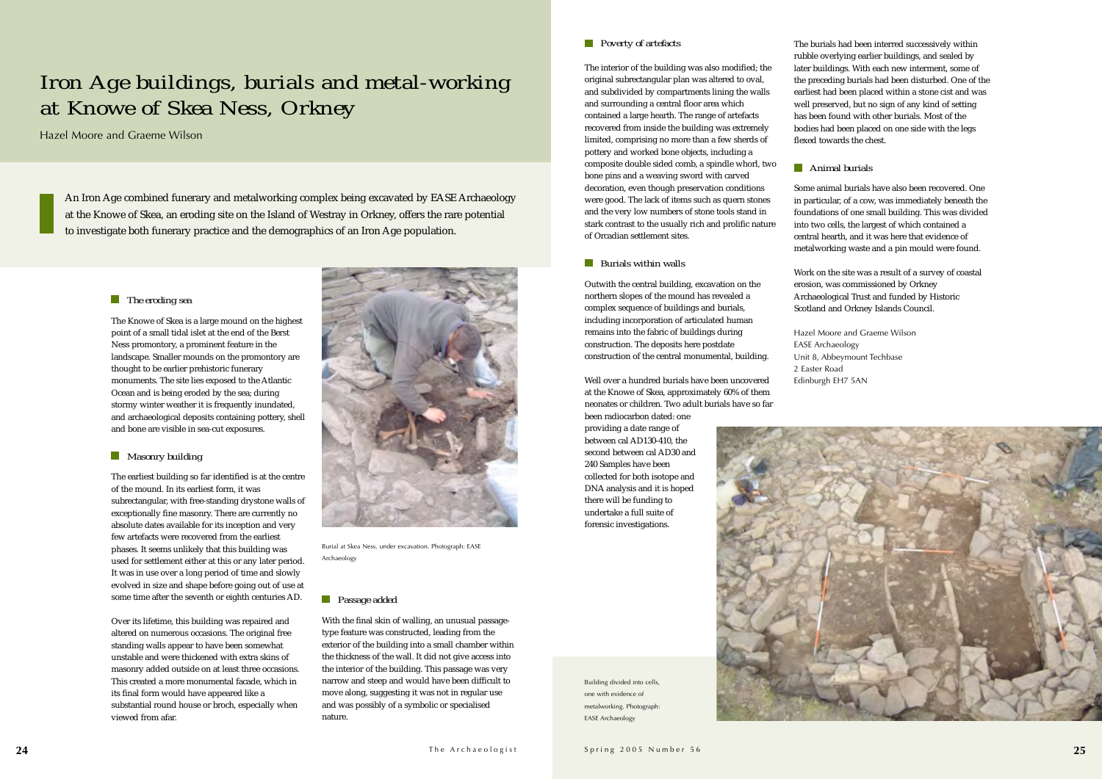### *Poverty of artefacts*

The interior of the building was also modified; the original subrectangular plan was altered to oval, and subdivided by compartments lining the walls and surrounding a central floor area which contained a large hearth. The range of artefacts recovered from inside the building was extremely limited, comprising no more than a few sherds of pottery and worked bone objects, including a composite double sided comb, a spindle whorl, two bone pins and a weaving sword with carved decoration, even though preservation conditions were good. The lack of items such as quern stones and the very low numbers of stone tools stand in stark contrast to the usually rich and prolific nature of Orcadian settlement sites.

### *Burials within walls*

Outwith the central building, excavation on the northern slopes of the mound has revealed a complex sequence of buildings and burials, including incorporation of articulated human remains into the fabric of buildings during construction. The deposits here postdate construction of the central monumental, building.

Well over a hundred burials have been uncovered at the Knowe of Skea, approximately 60% of them neonates or children. Two adult burials have so far been radiocarbon dated: one

providing a date range of between cal AD130-410, the second between cal AD30 and 240 Samples have been collected for both isotope and DNA analysis and it is hoped there will be funding to undertake a full suite of forensic investigations.



The burials had been interred successively within rubble overlying earlier buildings, and sealed by later buildings. With each new interment, some of the preceding burials had been disturbed. One of the earliest had been placed within a stone cist and was well preserved, but no sign of any kind of setting has been found with other burials. Most of the bodies had been placed on one side with the legs flexed towards the chest.

### *Animal burials*

Some animal burials have also been recovered. Onein particular, of a cow, was immediately beneath the foundations of one small building. This was divided into two cells, the largest of which contained a central hearth, and it was here that evidence of metalworking waste and a pin mould were found.

Work on the site was a result of a survey of coastal erosion, was commissioned by Orkney Archaeological Trust and funded by Historic Scotland and Orkney Islands Council.

Hazel Moore and Graeme WilsonEASE Archaeology Unit 8, Abbeymount Techbase 2 Easter RoadEdinburgh EH7 5AN

### *The eroding sea*

The Knowe of Skea is a large mound on the highest point of a small tidal islet at the end of the Berst Ness promontory, a prominent feature in the landscape. Smaller mounds on the promontory are thought to be earlier prehistoric funerary monuments. The site lies exposed to the Atlantic Ocean and is being eroded by the sea; during stormy winter weather it is frequently inundated, and archaeological deposits containing pottery, shell and bone are visible in sea-cut exposures.

### *Masonry building*

The earliest building so far identified is at the centre of the mound. In its earliest form, it was subrectangular, with free-standing drystone walls of exceptionally fine masonry. There are currently no absolute dates available for its inception and very few artefacts were recovered from the earliest phases. It seems unlikely that this building was used for settlement either at this or any later period. It was in use over a long period of time and slowly evolved in size and shape before going out of use at some time after the seventh or eighth centuries AD.

Over its lifetime, this building was repaired and altered on numerous occasions. The original free standing walls appear to have been somewhat unstable and were thickened with extra skins of masonry added outside on at least three occasions. This created a more monumental facade, which in its final form would have appeared like a substantial round house or broch, especially when viewed from afar.

### *Passage added*

With the final skin of walling, an unusual passagetype feature was constructed, leading from the exterior of the building into a small chamber within the thickness of the wall. It did not give access into the interior of the building. This passage was very narrow and steep and would have been difficult to move along, suggesting it was not in regular use and was possibly of a symbolic or specialised nature.

### *Iron Age buildings, burials and metal-working at Knowe of Skea Ness, Orkney*

Hazel Moore and Graeme Wilson



Burial at Skea Ness, under excavation. Photograph: EASE Archaeology

Building divided into cells, one with evidence of metalworking. Photograph: EASE Archaeology

An Iron Age combined funerary and metalworking complex being excavated by EASE Archaeology at the Knowe of Skea, an eroding site on the Island of Westray in Orkney, offers the rare potential to investigate both funerary practice and the demographics of an Iron Age population.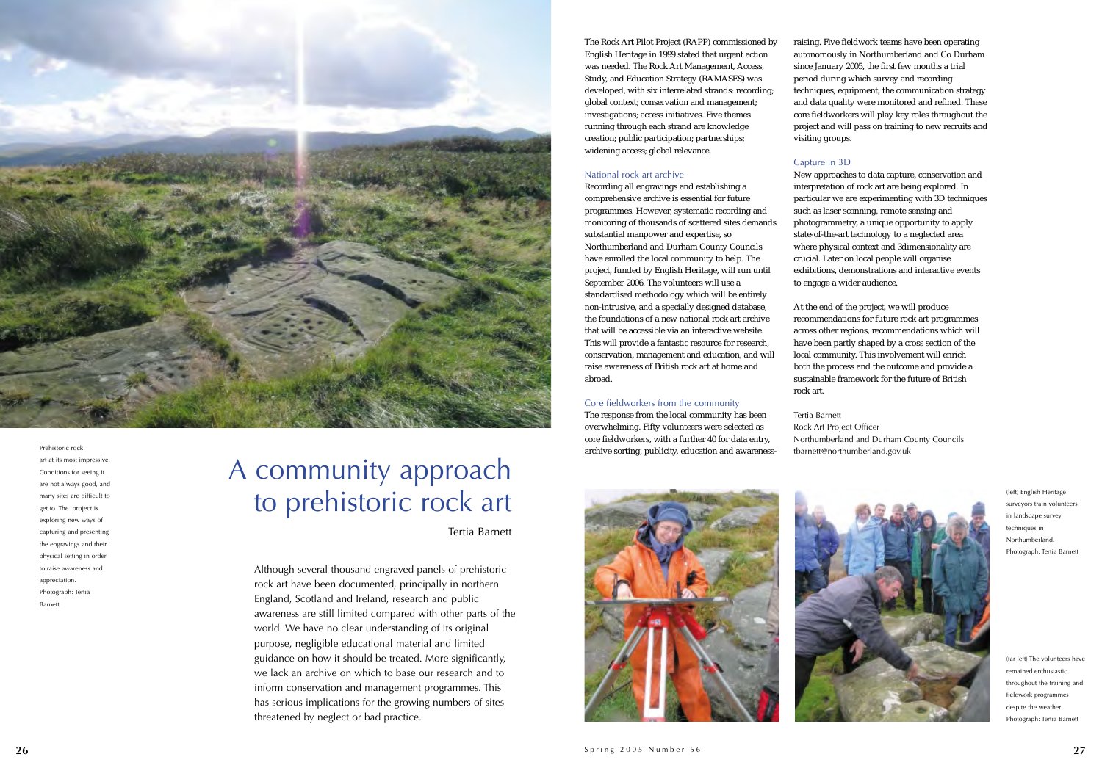Although several thousand engraved panels of prehistoric rock art have been documented, principally in northern England, Scotland and Ireland, research and public awareness are still limited compared with other parts of the world. We have no clear understanding of its original purpose, negligible educational material and limited guidance on how it should be treated. More significantly, we lack an archive on which to base our research and to inform conservation and management programmes. This has serious implications for the growing numbers of sites threatened by neglect or bad practice.

The Rock Art Pilot Project (RAPP) commissioned by English Heritage in 1999 stated that urgent action was needed. The Rock Art Management, Access, Study, and Education Strategy (RAMASES) was developed, with six interrelated strands: recording; global context; conservation and management; investigations; access initiatives. Five themes running through each strand are knowledge creation; public participation; partnerships; widening access; global relevance.

### National rock art archive

New approaches to data capture, conservation and interpretation of rock art are being explored. In particular we are experimenting with 3D techniques such as laser scanning, remote sensing and photogrammetry, a unique opportunity to apply state-of-the-art technology to a neglected area where physical context and 3dimensionality are crucial. Later on local people will organise exhibitions, demonstrations and interactive events to engage a wider audience.<br>At the end of the project, we will produce

Recording all engravings and establishing a comprehensive archive is essential for future programmes. However, systematic recording and monitoring of thousands of scattered sites demands substantial manpower and expertise, so Northumberland and Durham County Councils have enrolled the local community to help. The project, funded by English Heritage, will run until September 2006. The volunteers will use a standardised methodology which will be entirely non-intrusive, and a specially designed database, the foundations of a new national rock art archive that will be accessible via an interactive website. This will provide a fantastic resource for research, conservation, management and education, and will raise awareness of British rock art at home and abroad.

### Core fieldworkers from the community

The response from the local community has been overwhelming. Fifty volunteers were selected as core fieldworkers, with a further 40 for data entry, archive sorting, publicity, education and awareness-





raising. Five fieldwork teams have been operating autonomously in Northumberland and Co Durham since January 2005, the first few months a trial period during which survey and recording techniques, equipment, the communication strategy and data quality were monitored and refined. These core fieldworkers will play key roles throughout the project and will pass on training to new recruits and visiting groups.

### Capture in 3D

recommendations for future rock art programmes across other regions, recommendations which will have been partly shaped by a cross section of the local community. This involvement will enrich both the process and the outcome and provide a sustainable framework for the future of British rock art.

Tertia Barnett Rock Art Project Officer Northumberland and Durham County Councils tbarnett@northumberland.gov.uk



### A community approach to prehistoric rock art

Tertia Barnett

(left) English Heritage surveyors train volunteers in landscape survey techniques in Northumberland.Photograph: Tertia Barnett

(far left) The volunteers have remained enthusiasticthroughout the training and fieldwork programmes despite the weather. Photograph: Tertia Barnett



Prehistoric rock art at its most impressive. Conditions for seeing it are not always good, and many sites are difficult to get to. The project is exploring new ways of capturing and presenting the engravings and their physical setting in order to raise awareness and appreciation. Photograph: Tertia Barnett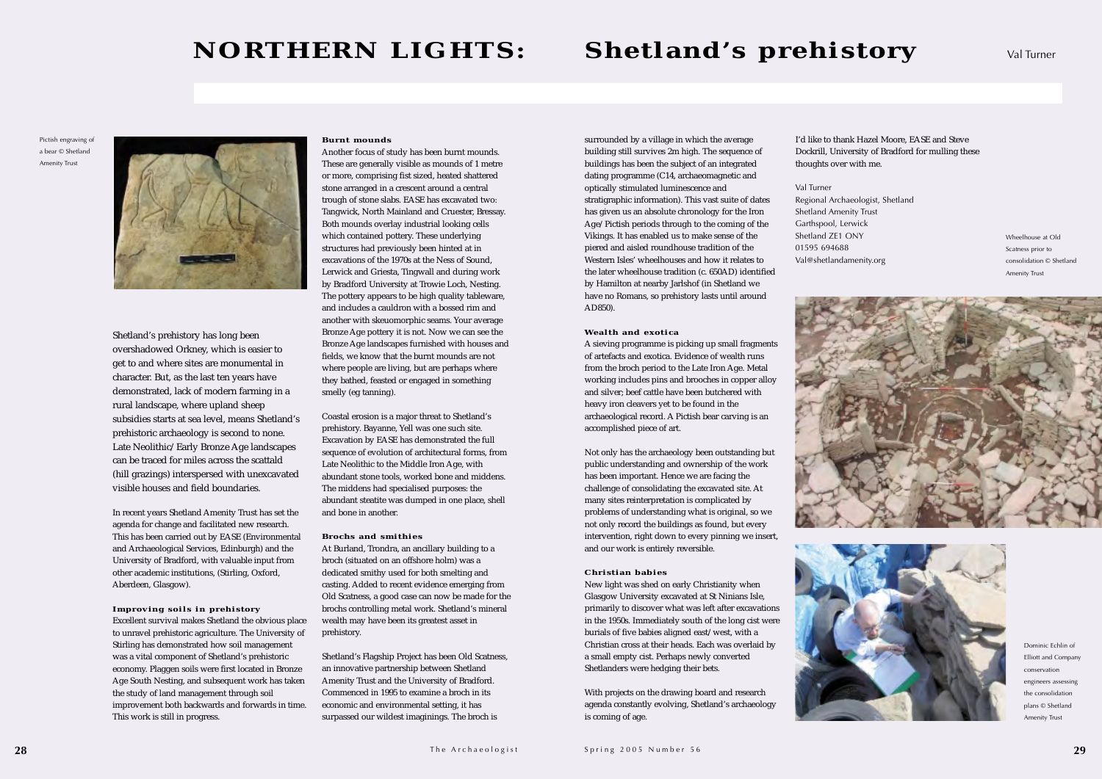Shetland's prehistory has long been overshadowed Orkney, which is easier to get to and where sites are monumental in character. But, as the last ten years have demonstrated, lack of modern farming in a rural landscape, where upland sheep subsidies starts at sea level, means Shetland's prehistoric archaeology is second to none. Late Neolithic/Early Bronze Age landscapes can be traced for miles across the scattald (hill grazings) interspersed with unexcavated visible houses and field boundaries.

In recent years Shetland Amenity Trust has set the agenda for change and facilitated new research. This has been carried out by EASE (Environmental and Archaeological Services, Edinburgh) and the University of Bradford, with valuable input from other academic institutions, (Stirling, Oxford, Aberdeen, Glasgow).

### **Improving soils in prehistory**

Excellent survival makes Shetland the obvious place to unravel prehistoric agriculture. The University of Stirling has demonstrated how soil management was a vital component of Shetland's prehistoric economy. Plaggen soils were first located in Bronze Age South Nesting, and subsequent work has taken the study of land management through soil improvement both backwards and forwards in time. This work is still in progress.

### **Burnt mounds**

Another focus of study has been burnt mounds. These are generally visible as mounds of 1 metre or more, comprising fist sized, heated shattered stone arranged in a crescent around a central trough of stone slabs. EASE has excavated two: Tangwick, North Mainland and Cruester, Bressay. Both mounds overlay industrial looking cells which contained pottery. These underlying structures had previously been hinted at in excavations of the 1970s at the Ness of Sound, Lerwick and Griesta, Tingwall and during work by Bradford University at Trowie Loch, Nesting. The pottery appears to be high quality tableware, and includes a cauldron with a bossed rim and another with skeuomorphic seams. Your average Bronze Age pottery it is not. Now we can see the Bronze Age landscapes furnished with houses and fields, we know that the burnt mounds are not where people are living, but are perhaps where they bathed, feasted or engaged in something smelly (eg tanning).

Coastal erosion is a major threat to Shetland's prehistory. Bayanne, Yell was one such site. Excavation by EASE has demonstrated the full sequence of evolution of architectural forms, from Late Neolithic to the Middle Iron Age, with abundant stone tools, worked bone and middens. The middens had specialised purposes: the abundant steatite was dumped in one place, shell and bone in another.

### **Brochs and smithies**

At Burland, Trondra, an ancillary building to a broch (situated on an offshore holm) was a dedicated smithy used for both smelting and casting. Added to recent evidence emerging from Old Scatness, a good case can now be made for the brochs controlling metal work. Shetland's mineral wealth may have been its greatest asset in prehistory.

Shetland's Flagship Project has been Old Scatness, an innovative partnership between Shetland Amenity Trust and the University of Bradford. Commenced in 1995 to examine a broch in its economic and environmental setting, it has surpassed our wildest imaginings. The broch is

surrounded by a village in which the average building still survives 2m high. The sequence of buildings has been the subject of an integrated dating programme (C14, archaeomagnetic and optically stimulated luminescence and stratigraphic information). This vast suite of dates has given us an absolute chronology for the Iron Age/Pictish periods through to the coming of the Vikings. It has enabled us to make sense of the piered and aisled roundhouse tradition of the Western Isles' wheelhouses and how it relates to the later wheelhouse tradition (c. 650AD) identified by Hamilton at nearby Jarlshof (in Shetland we have no Romans, so prehistory lasts until around AD850).

### **Wealth and exotica**

A sieving programme is picking up small fragments of artefacts and exotica. Evidence of wealth runs from the broch period to the Late Iron Age. Metal working includes pins and brooches in copper alloy and silver; beef cattle have been butchered with heavy iron cleavers yet to be found in the archaeological record. A Pictish bear carving is an accomplished piece of art.

Not only has the archaeology been outstanding but public understanding and ownership of the work has been important. Hence we are facing the challenge of consolidating the excavated site. At many sites reinterpretation is complicated by problems of understanding what is original, so we not only record the buildings as found, but every intervention, right down to every pinning we insert, and our work is entirely reversible.

### **Christian babies**

New light was shed on early Christianity when Glasgow University excavated at St Ninians Isle, primarily to discover what was left after excavations in the 1950s. Immediately south of the long cist were burials of five babies aligned east/west, with a Christian cross at their heads. Each was overlaid by a small empty cist. Perhaps newly converted Shetlanders were hedging their bets.

With projects on the drawing board and research agenda constantly evolving, Shetland's archaeology is coming of age.

I'd like to thank Hazel Moore, EASE and Steve Dockrill, University of Bradford for mulling these thoughts over with me.

Val Turner





Regional Archaeologist, Shetland Shetland Amenity Trust Garthspool, Lerwick Shetland ZE1 ONY01595 694688 Val@shetlandamenity.org

### **NORTHERN LIGHTS: Shetland's prehistory** Val Turner

Pictish engraving of a bear © ShetlandAmenity Trust



Wheelhouse at Old Scatness prior to consolidation © Shetland Amenity Trust





Dominic Echlin ofElliott and Company conservationengineers assessing the consolidation plans © Shetland Amenity Trust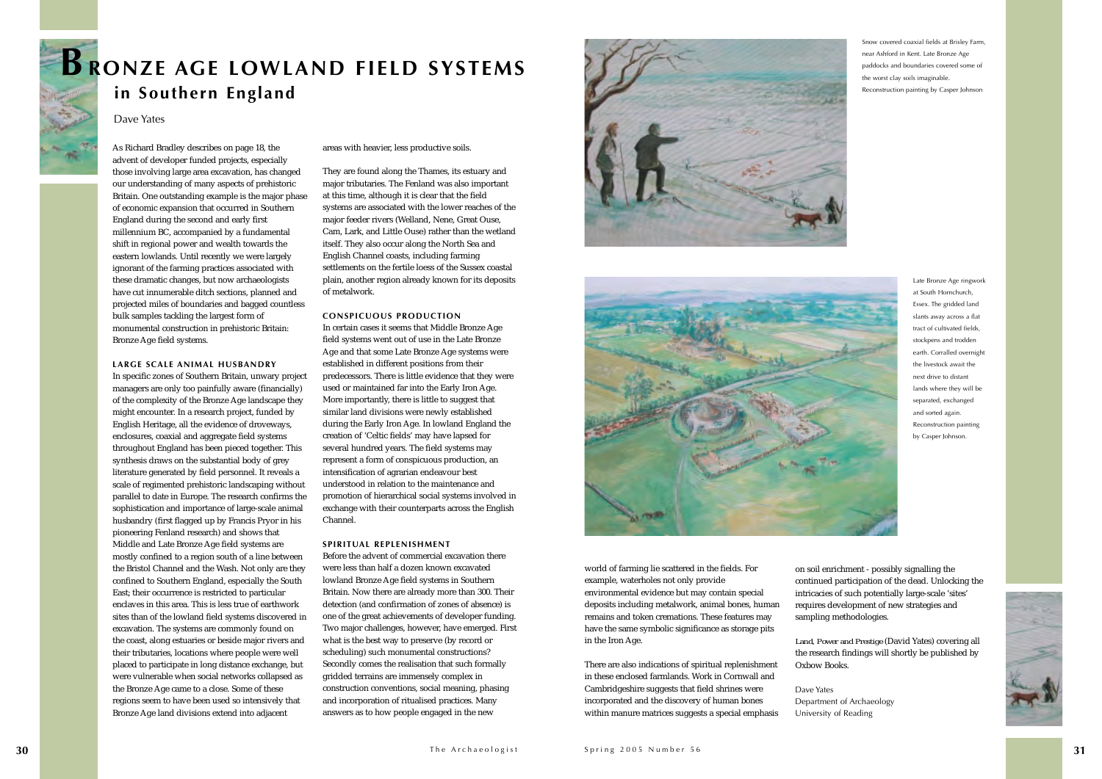

world of farming lie scattered in the fields. For example, waterholes not only provide environmental evidence but may contain special deposits including metalwork, animal bones, human remains and token cremations. These features may have the same symbolic significance as storage pits in the Iron Age.

There are also indications of spiritual replenishment in these enclosed farmlands. Work in Cornwall and Cambridgeshire suggests that field shrines were incorporated and the discovery of human bones within manure matrices suggests a special emphasis

As Richard Bradley describes on page 18, the advent of developer funded projects, especially those involving large area excavation, has changed our understanding of many aspects of prehistoric Britain. One outstanding example is the major phase of economic expansion that occurred in Southern England during the second and early first millennium BC, accompanied by a fundamental shift in regional power and wealth towards the eastern lowlands. Until recently we were largely ignorant of the farming practices associated with these dramatic changes, but now archaeologists have cut innumerable ditch sections, planned and projected miles of boundaries and bagged countless bulk samples tackling the largest form of monumental construction in prehistoric Britain: Bronze Age field systems.

### **LARGE SCALE ANIMAL HUSBANDRY**

In specific zones of Southern Britain, unwary project managers are only too painfully aware (financially) of the complexity of the Bronze Age landscape they might encounter. In a research project, funded by English Heritage, all the evidence of droveways, enclosures, coaxial and aggregate field systems throughout England has been pieced together. This synthesis draws on the substantial body of grey literature generated by field personnel. It reveals a scale of regimented prehistoric landscaping without parallel to date in Europe. The research confirms the sophistication and importance of large-scale animal husbandry (first flagged up by Francis Pryor in his pioneering Fenland research) and shows that Middle and Late Bronze Age field systems are mostly confined to a region south of a line between the Bristol Channel and the Wash. Not only are they confined to Southern England, especially the South East; their occurrence is restricted to particular enclaves in this area. This is less true of earthworksites than of the lowland field systems discovered in excavation. The systems are commonly found on the coast, along estuaries or beside major rivers and their tributaries, locations where people were well placed to participate in long distance exchange, but were vulnerable when social networks collapsed as the Bronze Age came to a close. Some of these regions seem to have been used so intensively that Bronze Age land divisions extend into adjacent

areas with heavier, less productive soils.

They are found along the Thames, its estuary and major tributaries. The Fenland was also important at this time, although it is clear that the field systems are associated with the lower reaches of the major feeder rivers (Welland, Nene, Great Ouse, Cam, Lark, and Little Ouse) rather than the wetland itself. They also occur along the North Sea and English Channel coasts, including farming settlements on the fertile loess of the Sussex coastal plain, another region already known for its deposits of metalwork.

### **CONSPICUOUS PRODUCTION**

In certain cases it seems that Middle Bronze Age field systems went out of use in the Late Bronze Age and that some Late Bronze Age systems were established in different positions from their predecessors. There is little evidence that they were used or maintained far into the Early Iron Age. More importantly, there is little to suggest that similar land divisions were newly established during the Early Iron Age. In lowland England the creation of 'Celtic fields' may have lapsed for several hundred years. The field systems may represent a form of conspicuous production, an intensification of agrarian endeavour best understood in relation to the maintenance and promotion of hierarchical social systems involved in exchange with their counterparts across the English Channel.

### **SPIRITUAL REPLENISHMENT**

Before the advent of commercial excavation therewere less than half a dozen known excavated lowland Bronze Age field systems in Southern Britain. Now there are already more than 300. Their detection (and confirmation of zones of absence) is one of the great achievements of developer funding. Two major challenges, however, have emerged. First what is the best way to preserve (by record or scheduling) such monumental constructions? Secondly comes the realisation that such formally gridded terrains are immensely complex in construction conventions, social meaning, phasing and incorporation of ritualised practices. Many answers as to how people engaged in the new





Snow covered coaxial fields at Brisley Farm, near Ashford in Kent. Late Bronze Age paddocks and boundaries covered some of the worst clay soils imaginable. Reconstruction painting by Casper Johnson

> Late Bronze Age ringwork at South Hornchurch, Essex. The gridded land slants away across a flat tract of cultivated fields, stockpens and trodden earth. Corralled overnight the livestock await the next drive to distant lands where they will be separated, exchanged and sorted again. Reconstruction painting by Casper Johnson.

on soil enrichment - possibly signalling the continued participation of the dead. Unlocking the intricacies of such potentially large-scale 'sites' requires development of new strategies and sampling methodologies.

*Land, Power and Prestige* (David Yates) covering all the research findings will shortly be published by



Oxbow Books.

Dave Yates Department of Archaeology University of Reading



### **BRONZE AGE LOWLAND FIELD SYSTEMS in Southern England**

### Dave Yates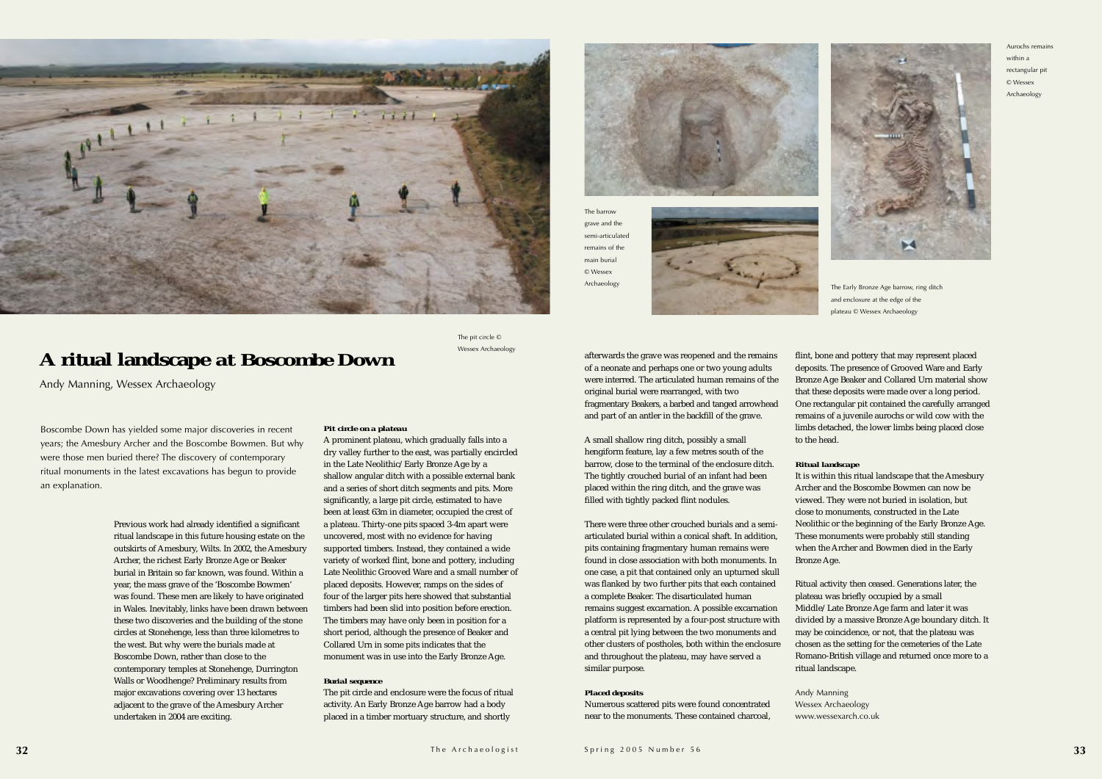



Andy Manning, Wessex Archaeology



Boscombe Down has yielded some major discoveries in recent years; the Amesbury Archer and the Boscombe Bowmen. But why were those men buried there? The discovery of contemporary ritual monuments in the latest excavations has begun to provide an explanation.

Previous work had already identified a significant ritual landscape in this future housing estate on the outskirts of Amesbury, Wilts. In 2002, the Amesbury Archer, the richest Early Bronze Age or Beaker burial in Britain so far known, was found. Within a year, the mass grave of the 'Boscombe Bowmen' was found. These men are likely to have originated in Wales. Inevitably, links have been drawn between these two discoveries and the building of the stone circles at Stonehenge, less than three kilometres to the west. But why were the burials made at Boscombe Down, rather than close to the contemporary temples at Stonehenge, Durrington Walls or Woodhenge? Preliminary results from major excavations covering over 13 hectares adjacent to the grave of the Amesbury Archer undertaken in 2004 are exciting.

### *Pit circle on a plateau*

A prominent plateau, which gradually falls into a dry valley further to the east, was partially encircled in the Late Neolithic/Early Bronze Age by a shallow angular ditch with a possible external bank and a series of short ditch segments and pits. More significantly, a large pit circle, estimated to have been at least 63m in diameter, occupied the crest of a plateau. Thirty-one pits spaced 3-4m apart were uncovered, most with no evidence for having supported timbers. Instead, they contained a wide variety of worked flint, bone and pottery, including Late Neolithic Grooved Ware and a small number of placed deposits. However, ramps on the sides of four of the larger pits here showed that substantial timbers had been slid into position before erection. The timbers may have only been in position for a short period, although the presence of Beaker and Collared Urn in some pits indicates that the monument was in use into the Early Bronze Age.

### *Burial sequence*

The pit circle and enclosure were the focus of ritual activity. An Early Bronze Age barrow had a body placed in a timber mortuary structure, and shortly



afterwards the grave was reopened and the remains of a neonate and perhaps one or two young adults were interred. The articulated human remains of the original burial were rearranged, with two fragmentary Beakers, a barbed and tanged arrowhead and part of an antler in the backfill of the grave.

A small shallow ring ditch, possibly a small hengiform feature, lay a few metres south of the barrow, close to the terminal of the enclosure ditch. The tightly crouched burial of an infant had been placed within the ring ditch, and the grave was filled with tightly packed flint nodules.

There were three other crouched burials and a semiarticulated burial within a conical shaft. In addition, pits containing fragmentary human remains were found in close association with both monuments. Inone case, a pit that contained only an upturned skull was flanked by two further pits that each contained a complete Beaker. The disarticulated human remains suggest excarnation. A possible excarnation platform is represented by a four-post structure with a central pit lying between the two monuments and other clusters of postholes, both within the enclosure and throughout the plateau, may have served a similar purpose.

### *Placed deposits*

Numerous scattered pits were found concentrated near to the monuments. These contained charcoal,

flint, bone and pottery that may represent placed deposits. The presence of Grooved Ware and Early Bronze Age Beaker and Collared Urn material show that these deposits were made over a long period. One rectangular pit contained the carefully arranged remains of a juvenile aurochs or wild cow with the limbs detached, the lower limbs being placed close to the head.

### *Ritual landscape*

It is within this ritual landscape that the Amesbury Archer and the Boscombe Bowmen can now beviewed. They were not buried in isolation, but close to monuments, constructed in the Late Neolithic or the beginning of the Early Bronze Age. These monuments were probably still standing when the Archer and Bowmen died in the Early

Bronze Age.

Ritual activity then ceased. Generations later, the plateau was briefly occupied by a small Middle/Late Bronze Age farm and later it was divided by a massive Bronze Age boundary ditch. It may be coincidence, or not, that the plateau was chosen as the setting for the cemeteries of the Late Romano-British village and returned once more to a

ritual landscape.

Andy Manning Wessex Archaeology www.wessexarch.co.uk

The pit circle © Wessex Archaeology The barrowgrave and the semi-articulated remains of themain burial © WessexArchaeology



Aurochs remains within arectangular pit © Wessex Archaeology

The Early Bronze Age barrow, ring ditch and enclosure at the edge of the plateau © Wessex Archaeology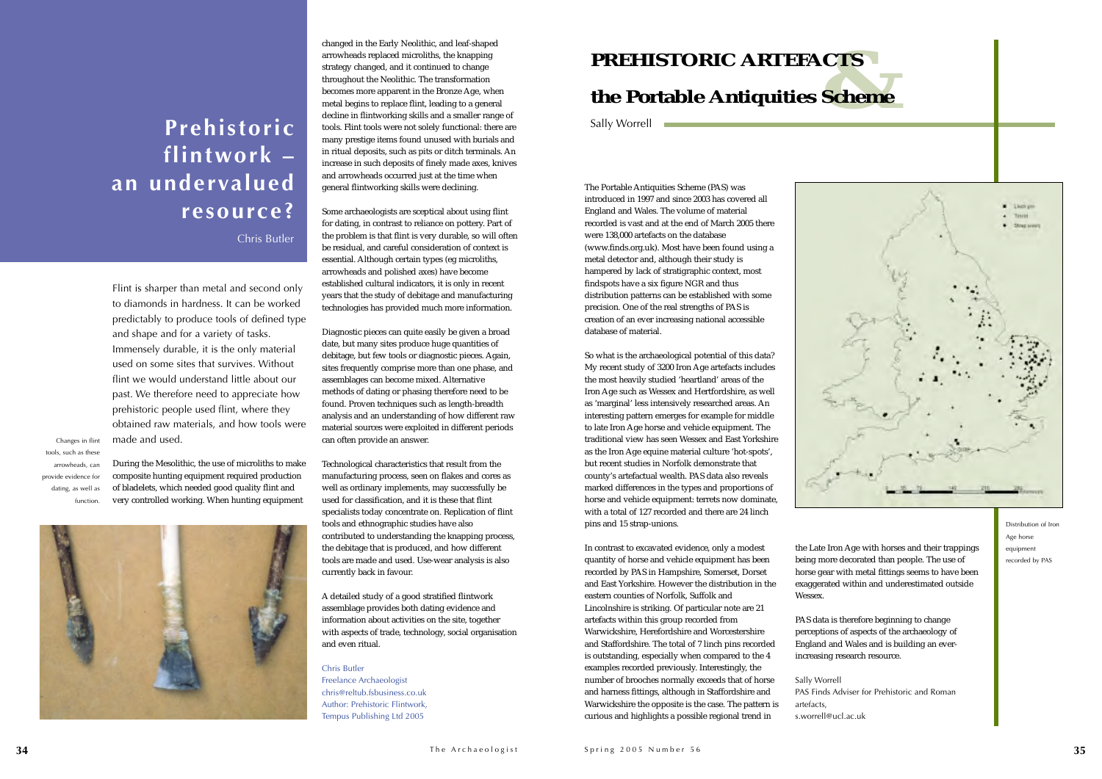



The Portable Antiquities Scheme (PAS) was introduced in 1997 and since 2003 has covered all England and Wales. The volume of material recorded is vast and at the end of March 2005 therewere 138,000 artefacts on the database (www.finds.org.uk). Most have been found using a metal detector and, although their study is hampered by lack of stratigraphic context, most findspots have a six figure NGR and thus distribution patterns can be established with some precision. One of the real strengths of PAS is creation of an ever increasing national accessible database of material.

So what is the archaeological potential of this data? My recent study of 3200 Iron Age artefacts includes the most heavily studied 'heartland' areas of the Iron Age such as Wessex and Hertfordshire, as well as 'marginal' less intensively researched areas. An interesting pattern emerges for example for middle to late Iron Age horse and vehicle equipment. The traditional view has seen Wessex and East Yorkshire as the Iron Age equine material culture 'hot-spots', but recent studies in Norfolk demonstrate that county's artefactual wealth. PAS data also reveals marked differences in the types and proportions of horse and vehicle equipment: terrets now dominate, with a total of 127 recorded and there are 24 linch pins and 15 strap-unions.

In contrast to excavated evidence, only a modest quantity of horse and vehicle equipment has been recorded by PAS in Hampshire, Somerset, Dorset and East Yorkshire. However the distribution in theeastern counties of Norfolk, Suffolk and Lincolnshire is striking. Of particular note are 21 artefacts within this group recorded from Warwickshire, Herefordshire and Worcestershire and Staffordshire. The total of 7 linch pins recorded is outstanding, especially when compared to the 4 examples recorded previously. Interestingly, the number of brooches normally exceeds that of horse and harness fittings, although in Staffordshire and Warwickshire the opposite is the case. The pattern is curious and highlights a possible regional trend in

the Late Iron Age with horses and their trappings being more decorated than people. The use of horse gear with metal fittings seems to have been exaggerated within and underestimated outside

Wessex.

PAS data is therefore beginning to change perceptions of aspects of the archaeology of England and Wales and is building an everincreasing research resource.

PAS Finds Adviser for Prehistoric and Roman

Sally Worrell artefacts, s.worrell@ucl.ac.uk

Flint is sharper than metal and second only to diamonds in hardness. It can be workedpredictably to produce tools of defined type and shape and for a variety of tasks. Immensely durable, it is the only material used on some sites that survives. Without flint we would understand little about ourpast. We therefore need to appreciate how prehistoric people used flint, where they obtained raw materials, and how tools were made and used.

### **& the Portable Antiquities Scheme PREHISTORIC ARTEFACTS**

Sally Worrell

During the Mesolithic, the use of microliths to make composite hunting equipment required production of bladelets, which needed good quality flint and very controlled working. When hunting equipment



changed in the Early Neolithic, and leaf-shaped arrowheads replaced microliths, the knapping strategy changed, and it continued to change throughout the Neolithic. The transformation becomes more apparent in the Bronze Age, when metal begins to replace flint, leading to a general decline in flintworking skills and a smaller range of tools. Flint tools were not solely functional: there are many prestige items found unused with burials and in ritual deposits, such as pits or ditch terminals. An increase in such deposits of finely made axes, knives and arrowheads occurred just at the time when general flintworking skills were declining.

Some archaeologists are sceptical about using flint for dating, in contrast to reliance on pottery. Part of the problem is that flint is very durable, so will often be residual, and careful consideration of context is essential. Although certain types (eg microliths, arrowheads and polished axes) have become established cultural indicators, it is only in recent years that the study of debitage and manufacturing technologies has provided much more information.

Diagnostic pieces can quite easily be given a broad date, but many sites produce huge quantities of debitage, but few tools or diagnostic pieces. Again, sites frequently comprise more than one phase, and assemblages can become mixed. Alternative methods of dating or phasing therefore need to be found. Proven techniques such as length-breadth analysis and an understanding of how different raw material sources were exploited in different periods can often provide an answer.

Technological characteristics that result from the manufacturing process, seen on flakes and cores as well as ordinary implements, may successfully be used for classification, and it is these that flint specialists today concentrate on*.* Replication of flint tools and ethnographic studies have also contributed to understanding the knapping process, the debitage that is produced, and how different tools are made and used. Use-wear analysis is also currently back in favour.

A detailed study of a good stratified flintwork assemblage provides both dating evidence and information about activities on the site, together with aspects of trade, technology, social organisation and even ritual.

Chris ButlerFreelance Archaeologist chris@reltub.fsbusiness.co.uk Author: Prehistoric Flintwork, Tempus Publishing Ltd 2005

### **Prehistoric flintwork – an undervalued resource?**

Chris Butler

Changes in flint tools, such as these arrowheads, can provide evidence for dating, as well as function.

> Distribution of Iron Age horse equipment recorded by PAS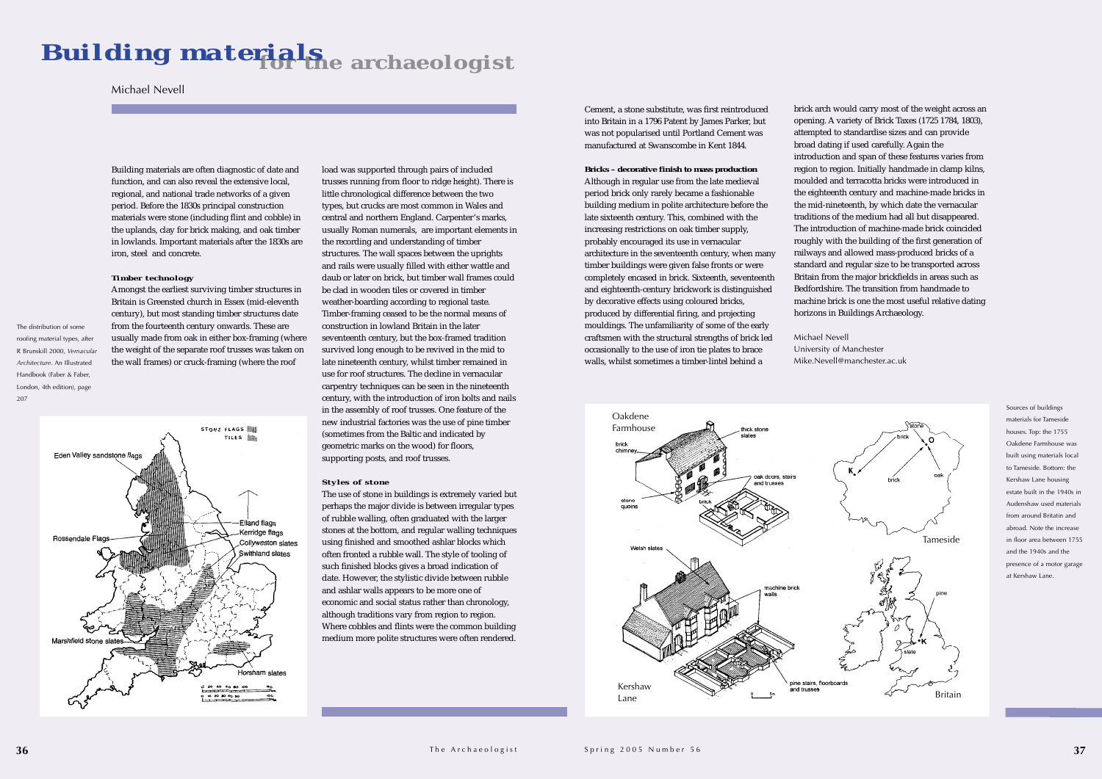Cement, a stone substitute, was first reintroduced into Britain in a 1796 Patent by James Parker, but was not popularised until Portland Cement was manufactured at Swanscombe in Kent 1844.

### **Bricks – decorative finish to mass production**

Although in regular use from the late medieval period brick only rarely became a fashionable building medium in polite architecture before the late sixteenth century. This, combined with the increasing restrictions on oak timber supply, probably encouraged its use in vernacular architecture in the seventeenth century, when many timber buildings were given false fronts or were completely encased in brick. Sixteenth, seventeenth and eighteenth-century brickwork is distinguished by decorative effects using coloured bricks, produced by differential firing, and projecting mouldings. The unfamiliarity of some of the early craftsmen with the structural strengths of brick led occasionally to the use of iron tie plates to brace walls, whilst sometimes a timber-lintel behind a

Building materials are often diagnostic of date and function, and can also reveal the extensive local, regional, and national trade networks of a given period. Before the 1830s principal construction materials were stone (including flint and cobble) in the uplands, clay for brick making, and oak timber in lowlands. Important materials after the 1830s are iron, steel and concrete.

### *Timber technology*

Amongst the earliest surviving timber structures in Britain is Greensted church in Essex (mid-eleventh century), but most standing timber structures date from the fourteenth century onwards. These are usually made from oak in either box-framing (where the weight of the separate roof trusses was taken on the wall frames) or cruck-framing (where the roof



load was supported through pairs of included trusses running from floor to ridge height). There is little chronological difference between the two types, but crucks are most common in Wales and central and northern England. Carpenter's marks, usually Roman numerals, are important elements in the recording and understanding of timber structures. The wall spaces between the uprights and rails were usually filled with either wattle and daub or later on brick, but timber wall frames could be clad in wooden tiles or covered in timberweather-boarding according to regional taste. Timber-framing ceased to be the normal means of construction in lowland Britain in the later seventeenth century, but the box-framed tradition survived long enough to be revived in the mid to late nineteenth century, whilst timber remained in use for roof structures. The decline in vernacular carpentry techniques can be seen in the nineteenth century, with the introduction of iron bolts and nails in the assembly of roof trusses. One feature of the new industrial factories was the use of pine timber (sometimes from the Baltic and indicated by geometric marks on the wood) for floors, supporting posts, and roof trusses.

### *Styles of stone*

The use of stone in buildings is extremely varied but perhaps the major divide is between irregular types of rubble walling, often graduated with the larger stones at the bottom, and regular walling techniques using finished and smoothed ashlar blocks which often fronted a rubble wall. The style of tooling of such finished blocks gives a broad indication of date. However, the stylistic divide between rubble and ashlar walls appears to be more one of economic and social status rather than chronology, although traditions vary from region to region. Where cobbles and flints were the common building medium more polite structures were often rendered.

### Michael Nevell

brick arch would carry most of the weight across an opening. A variety of Brick Taxes (1725 1784, 1803), attempted to standardise sizes and can provide broad dating if used carefully. Again the introduction and span of these features varies from region to region. Initially handmade in clamp kilns, moulded and terracotta bricks were introduced inthe eighteenth century and machine-made bricks in the mid-nineteenth, by which date the vernacular traditions of the medium had all but disappeared. The introduction of machine-made brick coincidedroughly with the building of the first generation of railways and allowed mass-produced bricks of a standard and regular size to be transported across Britain from the major brickfields in areas such as Bedfordshire. The transition from handmade tomachine brick is one the most useful relative dating horizons in Buildings Archaeology.

### **for the archaeologist** *Building materials*

Michael Nevell

University of Manchester Mike.Nevell@manchester.ac.uk

The distribution of some roofing material types, after R Brunskill 2000, *Vernacular Architecture*. An Illustrated Handbook (Faber & Faber, London, 4th edition), page

207

Sources of buildings materials for Tameside houses. Top: the 1755 Oakdene Farmhouse wasbuilt using materials local to Tameside. Bottom: the Kershaw Lane housing estate built in the 1940s inAudenshaw used materialsfrom around Britatin andabroad. Note the increasein floor area between 1755and the 1940s and thepresence of a motor garage at Kershaw Lane.

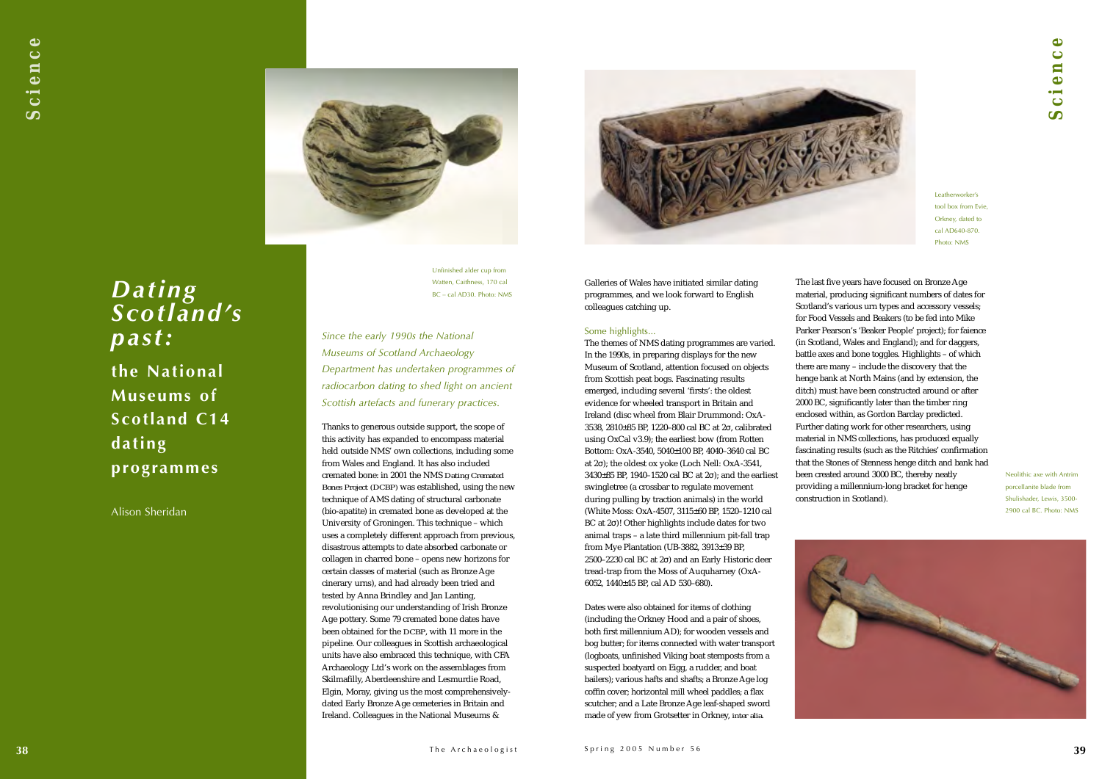Galleries of Wales have initiated similar dating programmes, and we look forward to English colleagues catching up.

### Some highlights...

The themes of NMS dating programmes are varied. In the 1990s, in preparing displays for the new Museum of Scotland, attention focused on objects from Scottish peat bogs. Fascinating results emerged, including several 'firsts': the oldest evidence for wheeled transport in Britain and Ireland (disc wheel from Blair Drummond: OxA-3538, 2810±85 BP, 1220–800 cal BC at 2<sup>σ</sup>, calibrated using OxCal v3.9); the earliest bow (from Rotten Bottom: OxA-3540, 5040±100 BP, 4040–3640 cal BC at 2σ); the oldest ox yoke (Loch Nell: OxA-3541, 3430±85 BP, 1940–1520 cal BC at 2σ); and the earliest swingletree (a crossbar to regulate movement during pulling by traction animals) in the world (White Moss: OxA-4507, 3115±60 BP, 1520–1210 cal BC at 2σ)! Other highlights include dates for two animal traps – a late third millennium pit-fall trap from Mye Plantation (UB-3882, 3913±39 BP, 2500–2230 cal BC at 2σ) and an Early Historic deer tread-trap from the Moss of Auquharney (OxA-6052, 1440±45 BP, cal AD 530–680).

### *Science*  $\bullet$  $\mathbf C$ en  $\ddot{\mathbf{c}}$  $\boldsymbol{\mathsf{S}}$



Dates were also obtained for items of clothing (including the Orkney Hood and a pair of shoes, both first millennium AD); for wooden vessels and bog butter; for items connected with water transport (logboats, unfinished Viking boat stemposts from a suspected boatyard on Eigg, a rudder, and boat bailers); various hafts and shafts; a Bronze Age log coffin cover; horizontal mill wheel paddles; a flax scutcher; and a Late Bronze Age leaf-shaped sword made of yew from Grotsetter in Orkney, *inter alia*.



The last five years have focused on Bronze Age material, producing significant numbers of dates for Scotland's various urn types and accessory vessels; for Food Vessels and Beakers (to be fed into Mike Parker Pearson's 'Beaker People' project); for faience (in Scotland, Wales and England); and for daggers, battle axes and bone toggles. Highlights – of which there are many – include the discovery that the henge bank at North Mains (and by extension, the ditch) must have been constructed around or after 2000 BC, significantly later than the timber ring enclosed within, as Gordon Barclay predicted. Further dating work for other researchers, using material in NMS collections, has produced equally fascinating results (such as the Ritchies' confirmation that the Stones of Stenness henge ditch and bank had been created around 3000 BC, thereby neatly providing a millennium-long bracket for henge construction in Scotland).

Neolithic axe with Antrimporcellanite blade from Shulishader, Lewis, 3500- 2900 cal BC. Photo: NMS



Leatherworker's tool box from Evie, Orkney, dated to cal AD640-870.Photo: NMS

*Dating Scotland's past:*

**the National Museums of Scotland C14 dating programmes**

Alison Sheridan

Unfinished alder cup from Watten, Caithness, 170 cal BC – cal AD30. Photo: NMS

*Since the early 1990s the National Museums of Scotland Archaeology Department has undertaken programmes of radiocarbon dating to shed light on ancient Scottish artefacts and funerary practices.*

Thanks to generous outside support, the scope of this activity has expanded to encompass material held outside NMS' own collections, including some from Wales and England. It has also included cremated bone: in 2001 the NMS *Dating Cremated Bones Project (DCBP)* was established, using the new technique of AMS dating of structural carbonate (bio-apatite) in cremated bone as developed at the University of Groningen. This technique – which uses a completely different approach from previous, disastrous attempts to date absorbed carbonate or collagen in charred bone – opens new horizons for certain classes of material (such as Bronze Age cinerary urns), and had already been tried and tested by Anna Brindley and Jan Lanting, revolutionising our understanding of Irish Bronze Age pottery. Some 79 cremated bone dates have been obtained for the *DCBP*, with 11 more in the pipeline. Our colleagues in Scottish archaeological units have also embraced this technique, with CFA Archaeology Ltd's work on the assemblages from Skilmafilly, Aberdeenshire and Lesmurdie Road, Elgin, Moray, giving us the most comprehensivelydated Early Bronze Age cemeteries in Britain and Ireland. Colleagues in the National Museums &

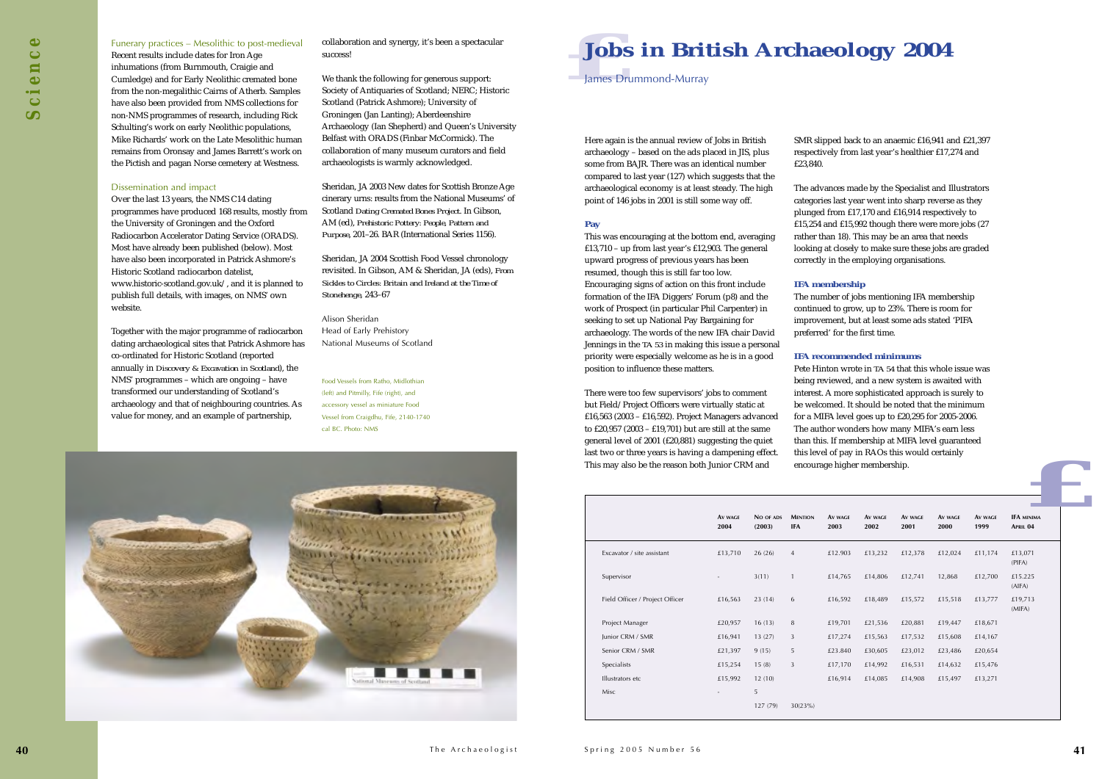Here again is the annual review of Jobs in British archaeology – based on the ads placed in JIS, plus some from BAJR. There was an identical numbercompared to last year (127) which suggests that the archaeological economy is at least steady. The high point of 146 jobs in 2001 is still some way off.

### **Pay**

This was encouraging at the bottom end, averaging £13,710 – up from last year's £12,903. The general upward progress of previous years has been resumed, though this is still far too low. Encouraging signs of action on this front include formation of the IFA Diggers' Forum (p8) and the work of Prospect (in particular Phil Carpenter) in seeking to set up National Pay Bargaining for archaeology. The words of the new IFA chair David Jennings in the *TA 53* in making this issue a personal priority were especially welcome as he is in a good position to influence these matters.

There were too few supervisors' jobs to comment but Field/Project Officers were virtually static at £16,563 (2003 – £16,592). Project Managers advanced to £20,957 (2003 – £19,701) but are still at the same general level of 2001 (£20,881) suggesting the quiet last two or three years is having a dampening effect. This may also be the reason both Junior CRM and

### *z <u><b>z z z z z z z z z***</del> <b>***z z*</u> **Jobs in British Archaeology 2004**

SMR slipped back to an anaemic £16,941 and £21,397 respectively from last year's healthier £17,274 and

£23,840.

The advances made by the Specialist and Illustrators categories last year went into sharp reverse as they plunged from £17,170 and £16,914 respectively to £15,254 and £15,992 though there were more jobs (27 rather than 18). This may be an area that needs looking at closely to make sure these jobs are graded correctly in the employing organisations.

### **IFA membership**

The number of jobs mentioning IFA membership continued to grow, up to 23%. There is room for improvement, but at least some ads stated 'PIFA preferred' for the first time.

### **IFA recommended minimums**

Pete Hinton wrote in *TA 54* that this whole issue was being reviewed, and a new system is awaited with interest. A more sophisticated approach is surely to be welcomed. It should be noted that the minimumfor a MIFA level goes up to £20,295 for 2005-2006. The author wonders how many MIFA's earn less than this. If membership at MIFA level guaranteed this level of pay in RAOs this would certainly encourage higher membership.

James Drummond-Murray

|                                 | AV WAGE<br>2004 | NO OF ADS<br>(2003) | <b>MENTION</b><br><b>IFA</b> | AV WAGE<br>2003 | AV WAGE<br>2002 | Av wage<br>2001 | AV WAGE<br>2000 | AV WAGE<br>1999 | <b>IFA MINIMA</b><br>APRIL 04 |
|---------------------------------|-----------------|---------------------|------------------------------|-----------------|-----------------|-----------------|-----------------|-----------------|-------------------------------|
| Excavator / site assistant      | £13,710         | 26(26)              | $\overline{4}$               | £12.903         | £13,232         | £12,378         | £12,024         | £11,174         | £13,071<br>(PIFA)             |
| Supervisor                      |                 | 3(11)               | $\mathbf{1}$                 | £14,765         | £14,806         | £12,741         | 12,868          | £12,700         | £15.225<br>(AIFA)             |
| Field Officer / Project Officer | £16,563         | 23(14)              | 6                            | £16,592         | £18,489         | £15,572         | £15,518         | £13,777         | £19,713<br>(MIFA)             |
| Project Manager                 | £20,957         | 16(13)              | 8                            | £19,701         | £21,536         | £20,881         | £19,447         | £18,671         |                               |
| Junior CRM / SMR                | £16,941         | 13(27)              | 3                            | £17,274         | £15,563         | £17,532         | £15,608         | £14,167         |                               |
| Senior CRM / SMR                | £21,397         | 9(15)               | 5                            | £23.840         | £30,605         | £23,012         | £23,486         | £20,654         |                               |
| Specialists                     | £15,254         | 15(8)               | $\mathbf{3}$                 | £17,170         | £14,992         | £16,531         | £14,632         | £15,476         |                               |
| Illustrators etc                | £15,992         | 12(10)              |                              | £16,914         | £14,085         | £14,908         | £15,497         | £13,271         |                               |
| Misc                            |                 | 5                   |                              |                 |                 |                 |                 |                 |                               |
|                                 |                 | 127 (79)            | 30(23%)                      |                 |                 |                 |                 |                 |                               |

### Funerary practices – Mesolithic to post-medieval

Recent results include dates for Iron Age inhumations (from Burnmouth, Craigie and Cumledge) and for Early Neolithic cremated bone from the non-megalithic Cairns of Atherb. Samples have also been provided from NMS collections for non-NMS programmes of research, including Rick Schulting's work on early Neolithic populations, Mike Richards' work on the Late Mesolithic humanremains from Oronsay and James Barrett's work on the Pictish and pagan Norse cemetery at Westness.

### Dissemination and impact

Over the last 13 years, the NMS C14 dating programmes have produced 168 results, mostly from the University of Groningen and the Oxford Radiocarbon Accelerator Dating Service (ORADS). Most have already been published (below). Most have also been incorporated in Patrick Ashmore's Historic Scotland radiocarbon datelist, www.historic-scotland.gov.uk/, and it is planned to publish full details, with images, on NMS' own website.

Together with the major programme of radiocarbon dating archaeological sites that Patrick Ashmore has co-ordinated for Historic Scotland (reported annually in *Discovery & Excavation in Scotland*), the NMS' programmes – which are ongoing – have transformed our understanding of Scotland's archaeology and that of neighbouring countries. As value for money, and an example of partnership,

collaboration and synergy, it's been a spectacular success!

We thank the following for generous support: Society of Antiquaries of Scotland; NERC; Historic Scotland (Patrick Ashmore); University of Groningen (Jan Lanting); Aberdeenshire Archaeology (Ian Shepherd) and Queen's University Belfast with ORADS (Finbar McCormick). The collaboration of many museum curators and field archaeologists is warmly acknowledged.

Sheridan, JA 2003 New dates for Scottish Bronze Age cinerary urns: results from the National Museums' of Scotland *Dating Cremated Bones Project*. In Gibson, AM (ed), *Prehistoric Pottery: People, Pattern and Purpose*, 201–26. BAR (International Series 1156).

Sheridan, JA 2004 Scottish Food Vessel chronology revisited. In Gibson, AM & Sheridan, JA (eds), *From Sickles to Circles: Britain and Ireland at the Time of Stonehenge*, 243–67

Alison Sheridan Head of Early Prehistory National Museums of Scotland

Food Vessels from Ratho, Midlothian (left) and Pitmilly, Fife (right), and accessory vessel as miniature Food Vessel from Craigdhu, Fife, 2140-1740 cal BC. Photo: NMS

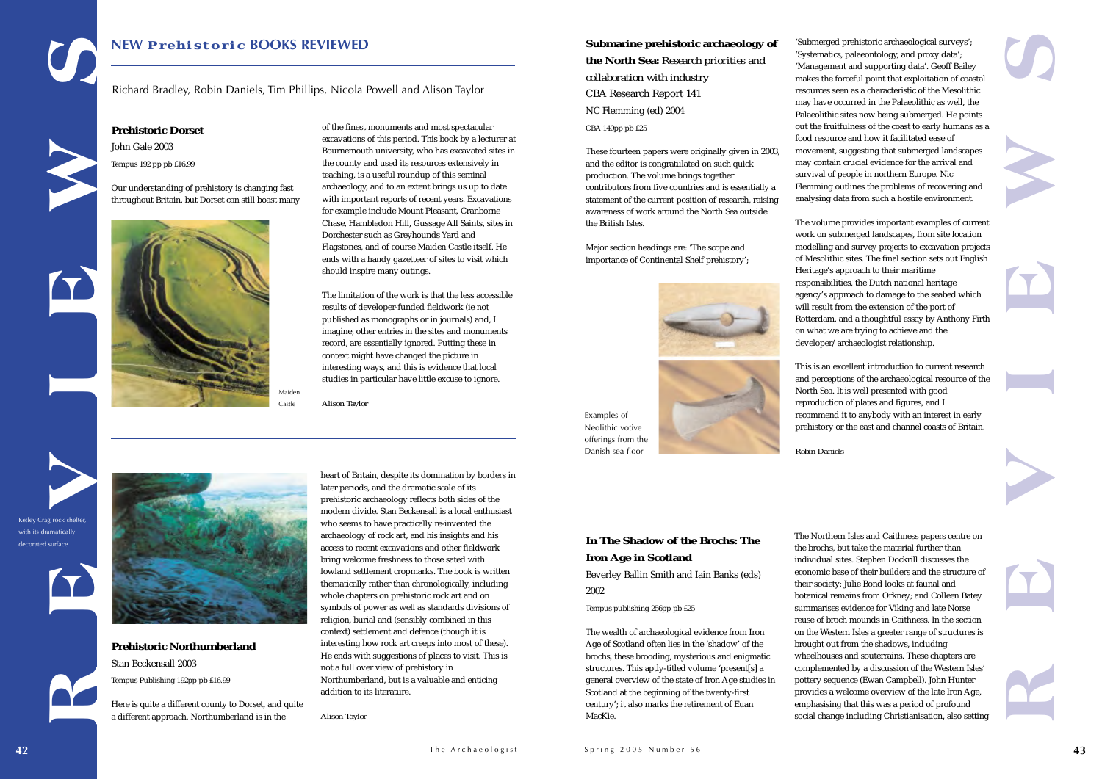### **Submarine prehistoric archaeology of**

### **the North Sea:** *Research priorities and collaboration with industry* CBA Research Report 141 NC Flemming (ed) 2004

CBA 140pp pb £25

These fourteen papers were originally given in 2003, and the editor is congratulated on such quick production. The volume brings together contributors from five countries and is essentially a statement of the current position of research, raising awareness of work around the North Sea outside the British Isles.

Major section headings are: 'The scope and importance of Continental Shelf prehistory';



'Submerged prehistoric archaeological surveys'; 'Systematics, palaeontology, and proxy data'; 'Management and supporting data'. Geoff Bailey makes the forceful point that exploitation of coastal resources seen as a characteristic of the Mesolithic may have occurred in the Palaeolithic as well, the Palaeolithic sites now being submerged. He points out the fruitfulness of the coast to early humans as a food resource and how it facilitated ease of movement, suggesting that submerged landscapes may contain crucial evidence for the arrival and survival of people in northern Europe. Nic Flemming outlines the problems of recovering and analysing data from such a hostile environment.

The volume provides important examples of current work on submerged landscapes, from site location modelling and survey projects to excavation projects of Mesolithic sites. The final section sets out English Heritage's approach to their maritime responsibilities, the Dutch national heritage agency's approach to damage to the seabed which will result from the extension of the port of Rotterdam, and a thoughtful essay by Anthony Firth on what we are trying to achieve and the developer/archaeologist relationship.

This is an excellent introduction to current research and perceptions of the archaeological resource of the North Sea. It is well presented with good reproduction of plates and figures, and I recommend it to anybody with an interest in early prehistory or the east and channel coasts of Britain.



*Robin Daniels*

### **In The Shadow of the Brochs: The Iron Age in Scotland**

Beverley Ballin Smith and Iain Banks (eds) 2002

Tempus publishing 256pp pb £25

The wealth of archaeological evidence from Iron Age of Scotland often lies in the 'shadow' of the brochs, these brooding, mysterious and enigmatic structures. This aptly-titled volume 'present[s] a general overview of the state of Iron Age studies in Scotland at the beginning of the twenty-first century'; it also marks the retirement of Euan MacKie.

The Northern Isles and Caithness papers centre on the brochs, but take the material further than individual sites. Stephen Dockrill discusses the economic base of their builders and the structure of their society; Julie Bond looks at faunal and botanical remains from Orkney; and Colleen Batey summarises evidence for Viking and late Norse reuse of broch mounds in Caithness. In the section on the Western Isles a greater range of structures is brought out from the shadows, including wheelhouses and souterrains. These chapters are complemented by a discussion of the Western Isles' pottery sequence (Ewan Campbell). John Hunter provides a welcome overview of the late Iron Age, emphasising that this was a period of profound social change including Christianisation, also setting

Examples of Neolithic votive offerings from the Danish sea floor

**REVIEWSPrehistoric Dorset** John Gale 2003 Tempus 192 pp pb £16.99 Our understanding of prehistory is changing fast throughout Britain, but Dorset can still boast many **Prehistoric Northumberland** Stan Beckensall 2003 Tempus Publishing 192pp pb £16.99 Here is quite a different county to Dorset, and quite a different approach. Northumberland is in the heart of Britain, despite its domination by borders in later periods, and the dramatic scale of its prehistoric archaeology reflects both sides of the modern divide. Stan Beckensall is a local enthusiast who seems to have practically re-invented the archaeology of rock art, and his insights and his access to recent excavations and other fieldwork bring welcome freshness to those sated with lowland settlement cropmarks. The book is written thematically rather than chronologically, including whole chapters on prehistoric rock art and on symbols of power as well as standards divisions of religion, burial and (sensibly combined in this context) settlement and defence (though it is interesting how rock art creeps into most of these). He ends with suggestions of places to visit. This is not a full over view of prehistory in Northumberland, but is a valuable and enticing addition to its literature. *Alison Taylor* of the finest monuments and most spectacular excavations of this period. This book by a lecturer at Bournemouth university, who has excavated sites in the county and used its resources extensively in teaching, is a useful roundup of this seminal archaeology, and to an extent brings us up to date with important reports of recent years. Excavations for example include Mount Pleasant, Cranborne Chase, Hambledon Hill, Gussage All Saints, sites in Dorchester such as Greyhounds Yard and Flagstones, and of course Maiden Castle itself. He ends with a handy gazetteer of sites to visit which should inspire many outings. The limitation of the work is that the less accessible results of developer-funded fieldwork (ie not published as monographs or in journals) and, I imagine, other entries in the sites and monuments record, are essentially ignored. Putting these in context might have changed the picture in interesting ways, and this is evidence that local studies in particular have little excuse to ignore. *Alison Taylor* Maiden Castle **NEW** *Prehistoric* **BOOKS REVIEWED** Richard Bradley, Robin Daniels, Tim Phillips, Nicola Powell and Alison Taylor











Ketley Crag rock shelter, with its dramatically decorated surface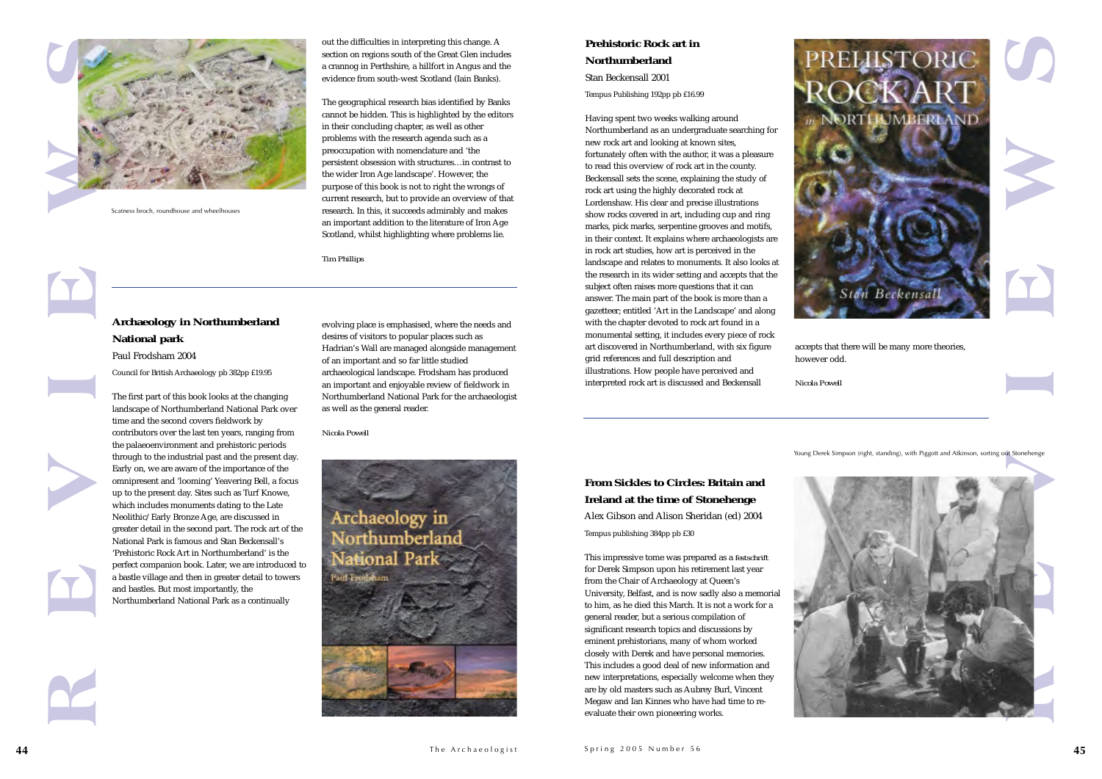### **Prehistoric Rock art inNorthumberland**Stan Beckensall 2001

Tempus Publishing 192pp pb £16.99

Having spent two weeks walking around Northumberland as an undergraduate searching for new rock art and looking at known sites, fortunately often with the author, it was a pleasure to read this overview of rock art in the county. Beckensall sets the scene, explaining the study of rock art using the highly decorated rock at Lordenshaw. His clear and precise illustrations show rocks covered in art, including cup and ring marks, pick marks, serpentine grooves and motifs, in their context. It explains where archaeologists are in rock art studies, how art is perceived in the landscape and relates to monuments. It also looks at the research in its wider setting and accepts that the subject often raises more questions that it can answer. The main part of the book is more than a gazetteer; entitled 'Art in the Landscape' and along with the chapter devoted to rock art found in a monumental setting, it includes every piece of rock art discovered in Northumberland, with six figure grid references and full description and illustrations. How people have perceived and interpreted rock art is discussed and Beckensall

accepts that there will be many more theories,





however odd.

*Nicola Powell*

### **From Sickles to Circles: Britain andIreland at the time of Stonehenge**

Alex Gibson and Alison Sheridan (ed) 2004 Tempus publishing 384pp pb £30

This impressive tome was prepared as a *festschrift* for Derek Simpson upon his retirement last year from the Chair of Archaeology at Queen's University, Belfast, and is now sadly also a memorial to him, as he died this March. It is not a work for a general reader, but a serious compilation of significant research topics and discussions by eminent prehistorians, many of whom worked closely with Derek and have personal memories. This includes a good deal of new information and new interpretations, especially welcome when they are by old masters such as Aubrey Burl, Vincent Megaw and Ian Kinnes who have had time to reevaluate their own pioneering works.









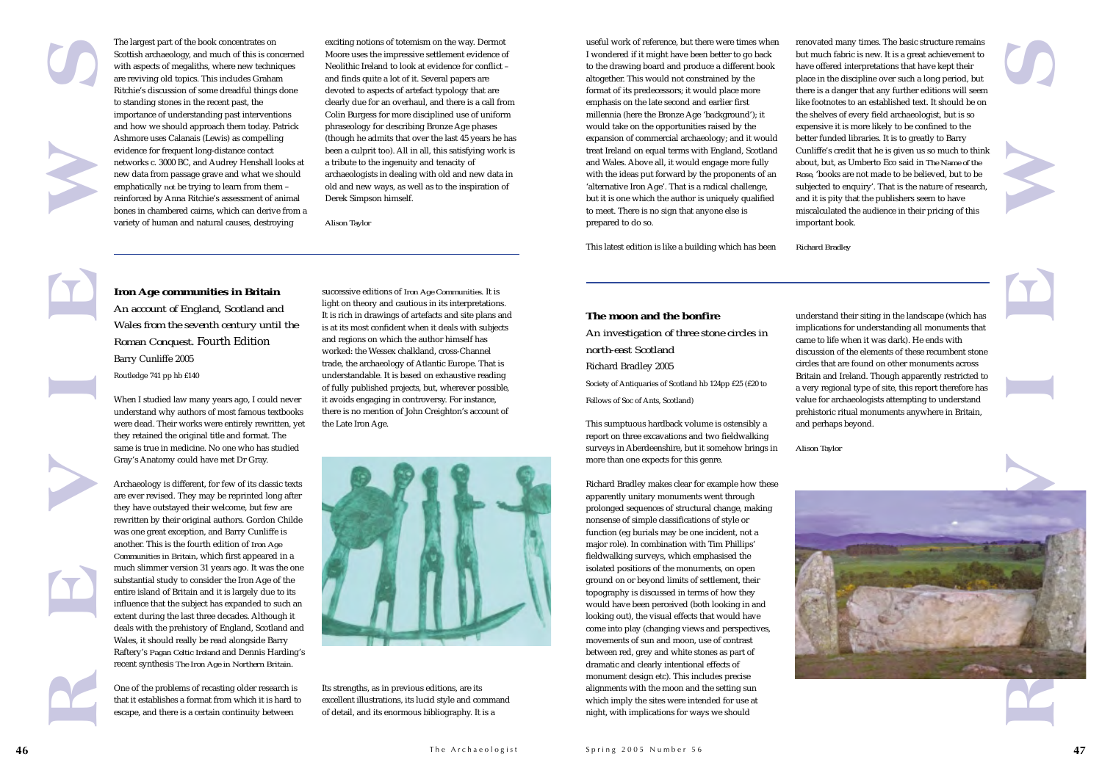

useful work of reference, but there were times when I wondered if it might have been better to go back to the drawing board and produce a different book altogether. This would not constrained by the format of its predecessors; it would place more emphasis on the late second and earlier first millennia (here the Bronze Age 'background'); it would take on the opportunities raised by the expansion of commercial archaeology; and it would treat Ireland on equal terms with England, Scotland and Wales. Above all, it would engage more fully with the ideas put forward by the proponents of an 'alternative Iron Age'. That is a radical challenge, but it is one which the author is uniquely qualified to meet. There is no sign that anyone else is prepared to do so.

This latest edition is like a building which has been

### **The moon and the bonfire***An investigation of three stone circles in north-east Scotland*Richard Bradley 2005 Society of Antiquaries of Scotland hb 124pp £25 (£20 to

Fellows of Soc of Ants, Scotland)

This sumptuous hardback volume is ostensibly a report on three excavations and two fieldwalking surveys in Aberdeenshire, but it somehow brings in more than one expects for this genre.

Richard Bradley makes clear for example how these apparently unitary monuments went through prolonged sequences of structural change, making nonsense of simple classifications of style or function (eg burials may be one incident, not a major role). In combination with Tim Phillips' fieldwalking surveys, which emphasised the isolated positions of the monuments, on open ground on or beyond limits of settlement, their topography is discussed in terms of how they would have been perceived (both looking in and looking out), the visual effects that would have come into play (changing views and perspectives, movements of sun and moon, use of contrast between red, grey and white stones as part of dramatic and clearly intentional effects of monument design etc). This includes precise alignments with the moon and the setting sun which imply the sites were intended for use at night, with implications for ways we should

understand their siting in the landscape (which has implications for understanding all monuments that came to life when it was dark). He ends with discussion of the elements of these recumbent stone circles that are found on other monuments acrossBritain and Ireland. Though apparently restricted to a very regional type of site, this report therefore has value for archaeologists attempting to understand prehistoric ritual monuments anywhere in Britain, and perhaps beyond.

*Alison Taylor*